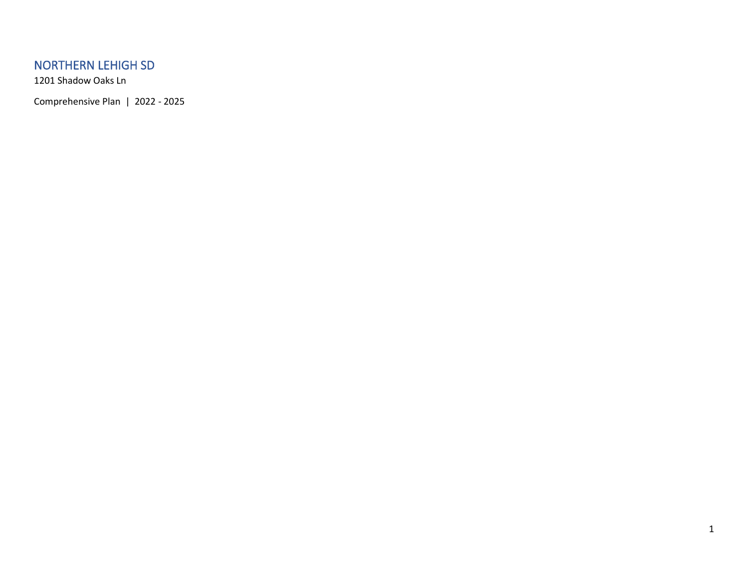### NORTHERN LEHIGH SD

1201 Shadow Oaks Ln

Comprehensive Plan | 2022 - 2025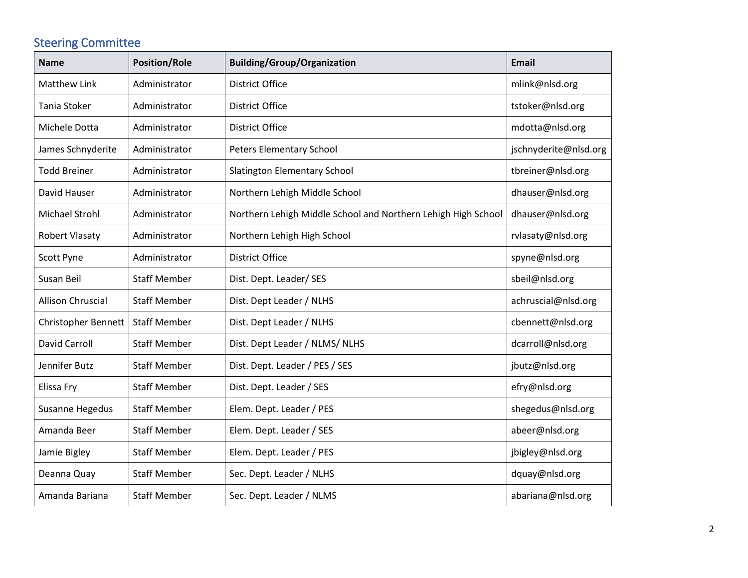# Steering Committee

| <b>Name</b>                | <b>Position/Role</b> | <b>Building/Group/Organization</b>                            | <b>Email</b>          |
|----------------------------|----------------------|---------------------------------------------------------------|-----------------------|
| <b>Matthew Link</b>        | Administrator        | <b>District Office</b>                                        | mlink@nlsd.org        |
| <b>Tania Stoker</b>        | Administrator        | <b>District Office</b>                                        | tstoker@nlsd.org      |
| Michele Dotta              | Administrator        | <b>District Office</b>                                        | mdotta@nlsd.org       |
| James Schnyderite          | Administrator        | Peters Elementary School                                      | jschnyderite@nlsd.org |
| <b>Todd Breiner</b>        | Administrator        | Slatington Elementary School                                  | tbreiner@nlsd.org     |
| David Hauser               | Administrator        | Northern Lehigh Middle School                                 | dhauser@nlsd.org      |
| Michael Strohl             | Administrator        | Northern Lehigh Middle School and Northern Lehigh High School | dhauser@nlsd.org      |
| <b>Robert Vlasaty</b>      | Administrator        | Northern Lehigh High School                                   | rvlasaty@nlsd.org     |
| Scott Pyne                 | Administrator        | <b>District Office</b>                                        | spyne@nlsd.org        |
| Susan Beil                 | <b>Staff Member</b>  | Dist. Dept. Leader/ SES                                       | sbeil@nlsd.org        |
| Allison Chruscial          | <b>Staff Member</b>  | Dist. Dept Leader / NLHS                                      | achruscial@nlsd.org   |
| <b>Christopher Bennett</b> | <b>Staff Member</b>  | Dist. Dept Leader / NLHS                                      | cbennett@nlsd.org     |
| <b>David Carroll</b>       | <b>Staff Member</b>  | Dist. Dept Leader / NLMS/ NLHS                                | dcarroll@nlsd.org     |
| Jennifer Butz              | <b>Staff Member</b>  | Dist. Dept. Leader / PES / SES                                | jbutz@nlsd.org        |
| Elissa Fry                 | <b>Staff Member</b>  | Dist. Dept. Leader / SES                                      | efry@nlsd.org         |
| Susanne Hegedus            | <b>Staff Member</b>  | Elem. Dept. Leader / PES                                      | shegedus@nlsd.org     |
| Amanda Beer                | <b>Staff Member</b>  | Elem. Dept. Leader / SES                                      | abeer@nlsd.org        |
| Jamie Bigley               | <b>Staff Member</b>  | Elem. Dept. Leader / PES                                      | jbigley@nlsd.org      |
| Deanna Quay                | <b>Staff Member</b>  | Sec. Dept. Leader / NLHS                                      | dquay@nlsd.org        |
| Amanda Bariana             | <b>Staff Member</b>  | Sec. Dept. Leader / NLMS                                      | abariana@nlsd.org     |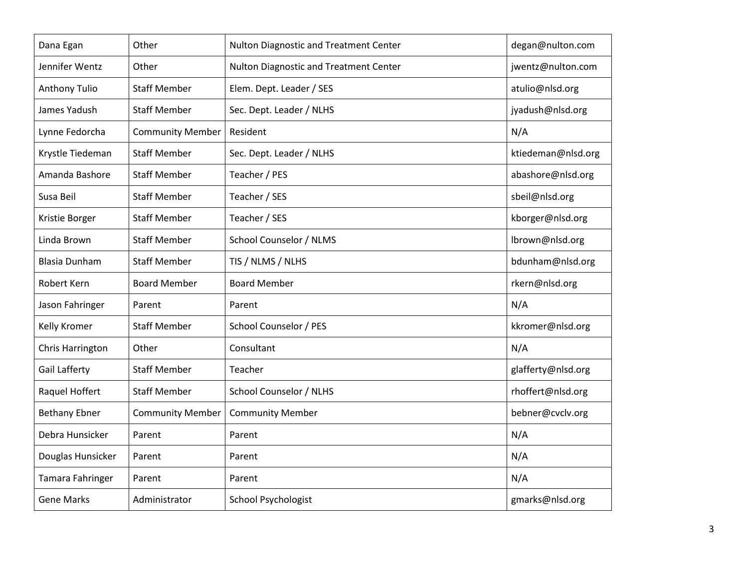| Dana Egan            | Other                   | Nulton Diagnostic and Treatment Center | degan@nulton.com   |
|----------------------|-------------------------|----------------------------------------|--------------------|
| Jennifer Wentz       | Other                   | Nulton Diagnostic and Treatment Center | jwentz@nulton.com  |
| <b>Anthony Tulio</b> | <b>Staff Member</b>     | Elem. Dept. Leader / SES               | atulio@nlsd.org    |
| James Yadush         | <b>Staff Member</b>     | Sec. Dept. Leader / NLHS               | jyadush@nlsd.org   |
| Lynne Fedorcha       | <b>Community Member</b> | Resident                               | N/A                |
| Krystle Tiedeman     | <b>Staff Member</b>     | Sec. Dept. Leader / NLHS               | ktiedeman@nlsd.org |
| Amanda Bashore       | <b>Staff Member</b>     | Teacher / PES                          | abashore@nlsd.org  |
| Susa Beil            | <b>Staff Member</b>     | Teacher / SES                          | sbeil@nlsd.org     |
| Kristie Borger       | <b>Staff Member</b>     | Teacher / SES                          | kborger@nlsd.org   |
| Linda Brown          | <b>Staff Member</b>     | School Counselor / NLMS                | lbrown@nlsd.org    |
| <b>Blasia Dunham</b> | <b>Staff Member</b>     | TIS / NLMS / NLHS                      | bdunham@nlsd.org   |
| Robert Kern          | <b>Board Member</b>     | <b>Board Member</b>                    | rkern@nlsd.org     |
| Jason Fahringer      | Parent                  | Parent                                 | N/A                |
| Kelly Kromer         | <b>Staff Member</b>     | School Counselor / PES                 | kkromer@nlsd.org   |
| Chris Harrington     | Other                   | Consultant                             | N/A                |
| <b>Gail Lafferty</b> | <b>Staff Member</b>     | Teacher                                | glafferty@nlsd.org |
| Raquel Hoffert       | <b>Staff Member</b>     | School Counselor / NLHS                | rhoffert@nlsd.org  |
| <b>Bethany Ebner</b> | <b>Community Member</b> | <b>Community Member</b>                | bebner@cvclv.org   |
| Debra Hunsicker      | Parent                  | Parent                                 | N/A                |
| Douglas Hunsicker    | Parent                  | Parent                                 | N/A                |
| Tamara Fahringer     | Parent                  | Parent                                 | N/A                |
| <b>Gene Marks</b>    | Administrator           | School Psychologist                    | gmarks@nlsd.org    |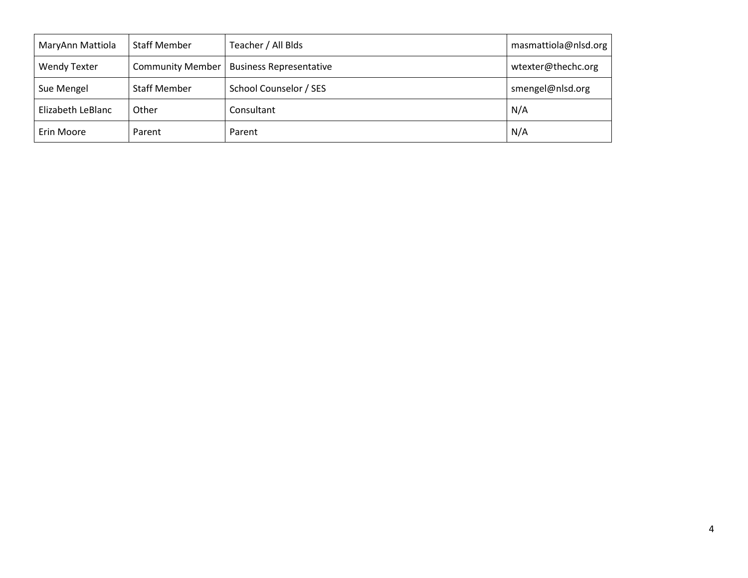| MaryAnn Mattiola    | <b>Staff Member</b>     | Teacher / All Blds             | masmattiola@nlsd.org |
|---------------------|-------------------------|--------------------------------|----------------------|
| <b>Wendy Texter</b> | <b>Community Member</b> | <b>Business Representative</b> | wtexter@thechc.org   |
| Sue Mengel          | <b>Staff Member</b>     | School Counselor / SES         | smengel@nlsd.org     |
| Elizabeth LeBlanc   | Other                   | Consultant                     | N/A                  |
| Erin Moore          | Parent                  | Parent                         | N/A                  |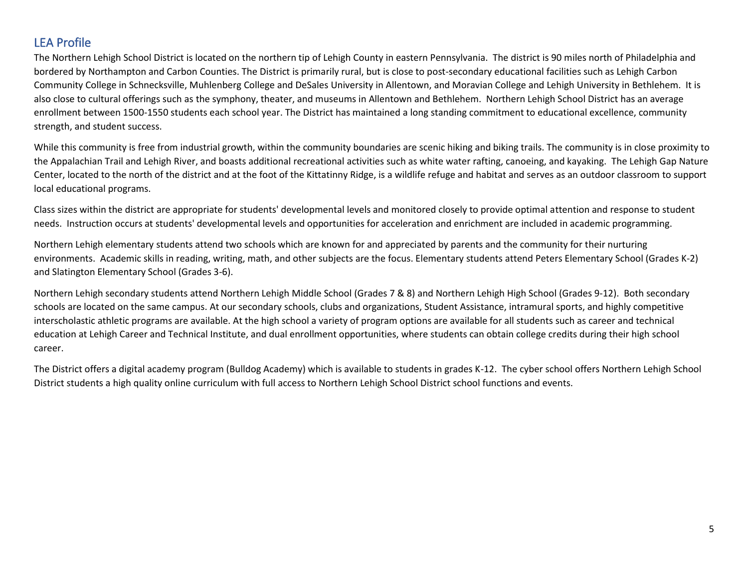### LEA Profile

The Northern Lehigh School District is located on the northern tip of Lehigh County in eastern Pennsylvania. The district is 90 miles north of Philadelphia and bordered by Northampton and Carbon Counties. The District is primarily rural, but is close to post-secondary educational facilities such as Lehigh Carbon Community College in Schnecksville, Muhlenberg College and DeSales University in Allentown, and Moravian College and Lehigh University in Bethlehem. It is also close to cultural offerings such as the symphony, theater, and museums in Allentown and Bethlehem. Northern Lehigh School District has an average enrollment between 1500-1550 students each school year. The District has maintained a long standing commitment to educational excellence, community strength, and student success.

While this community is free from industrial growth, within the community boundaries are scenic hiking and biking trails. The community is in close proximity to the Appalachian Trail and Lehigh River, and boasts additional recreational activities such as white water rafting, canoeing, and kayaking. The Lehigh Gap Nature Center, located to the north of the district and at the foot of the Kittatinny Ridge, is a wildlife refuge and habitat and serves as an outdoor classroom to support local educational programs.

Class sizes within the district are appropriate for students' developmental levels and monitored closely to provide optimal attention and response to student needs. Instruction occurs at students' developmental levels and opportunities for acceleration and enrichment are included in academic programming.

Northern Lehigh elementary students attend two schools which are known for and appreciated by parents and the community for their nurturing environments. Academic skills in reading, writing, math, and other subjects are the focus. Elementary students attend Peters Elementary School (Grades K-2) and Slatington Elementary School (Grades 3-6).

Northern Lehigh secondary students attend Northern Lehigh Middle School (Grades 7 & 8) and Northern Lehigh High School (Grades 9-12). Both secondary schools are located on the same campus. At our secondary schools, clubs and organizations, Student Assistance, intramural sports, and highly competitive interscholastic athletic programs are available. At the high school a variety of program options are available for all students such as career and technical education at Lehigh Career and Technical Institute, and dual enrollment opportunities, where students can obtain college credits during their high school career.

The District offers a digital academy program (Bulldog Academy) which is available to students in grades K-12. The cyber school offers Northern Lehigh School District students a high quality online curriculum with full access to Northern Lehigh School District school functions and events.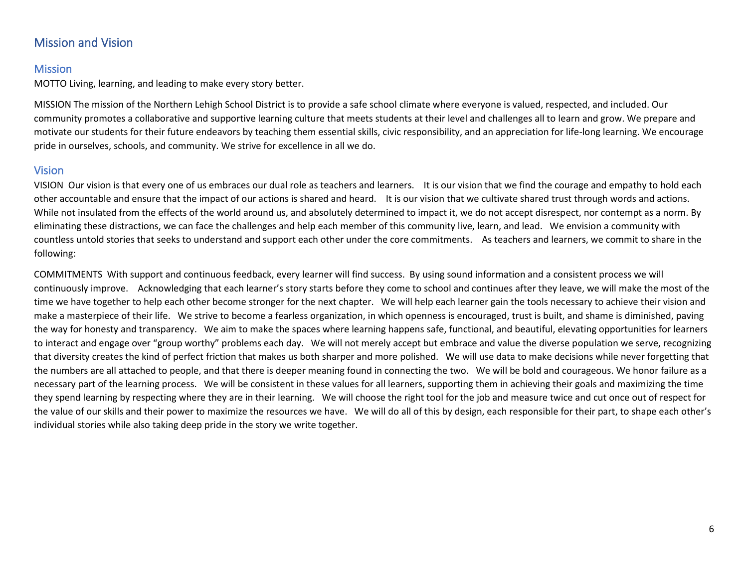### Mission and Vision

#### Mission

MOTTO Living, learning, and leading to make every story better.

MISSION The mission of the Northern Lehigh School District is to provide a safe school climate where everyone is valued, respected, and included. Our community promotes a collaborative and supportive learning culture that meets students at their level and challenges all to learn and grow. We prepare and motivate our students for their future endeavors by teaching them essential skills, civic responsibility, and an appreciation for life-long learning. We encourage pride in ourselves, schools, and community. We strive for excellence in all we do.

#### Vision

VISION Our vision is that every one of us embraces our dual role as teachers and learners. It is our vision that we find the courage and empathy to hold each other accountable and ensure that the impact of our actions is shared and heard. It is our vision that we cultivate shared trust through words and actions. While not insulated from the effects of the world around us, and absolutely determined to impact it, we do not accept disrespect, nor contempt as a norm. By eliminating these distractions, we can face the challenges and help each member of this community live, learn, and lead. We envision a community with countless untold stories that seeks to understand and support each other under the core commitments. As teachers and learners, we commit to share in the following:

COMMITMENTS With support and continuous feedback, every learner will find success. By using sound information and a consistent process we will continuously improve. Acknowledging that each learner's story starts before they come to school and continues after they leave, we will make the most of the time we have together to help each other become stronger for the next chapter. We will help each learner gain the tools necessary to achieve their vision and make a masterpiece of their life. We strive to become a fearless organization, in which openness is encouraged, trust is built, and shame is diminished, paving the way for honesty and transparency. We aim to make the spaces where learning happens safe, functional, and beautiful, elevating opportunities for learners to interact and engage over "group worthy" problems each day. We will not merely accept but embrace and value the diverse population we serve, recognizing that diversity creates the kind of perfect friction that makes us both sharper and more polished. We will use data to make decisions while never forgetting that the numbers are all attached to people, and that there is deeper meaning found in connecting the two. We will be bold and courageous. We honor failure as a necessary part of the learning process. We will be consistent in these values for all learners, supporting them in achieving their goals and maximizing the time they spend learning by respecting where they are in their learning. We will choose the right tool for the job and measure twice and cut once out of respect for the value of our skills and their power to maximize the resources we have. We will do all of this by design, each responsible for their part, to shape each other's individual stories while also taking deep pride in the story we write together.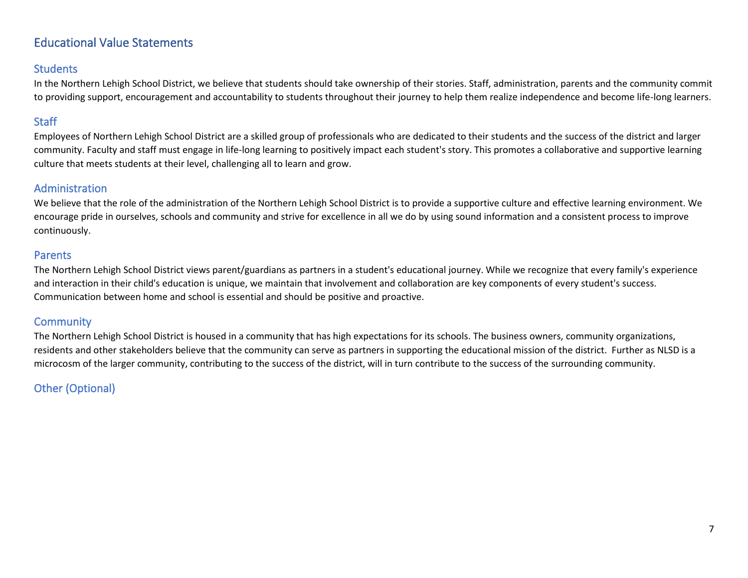### Educational Value Statements

#### **Students**

In the Northern Lehigh School District, we believe that students should take ownership of their stories. Staff, administration, parents and the community commit to providing support, encouragement and accountability to students throughout their journey to help them realize independence and become life-long learners.

### **Staff**

Employees of Northern Lehigh School District are a skilled group of professionals who are dedicated to their students and the success of the district and larger community. Faculty and staff must engage in life-long learning to positively impact each student's story. This promotes a collaborative and supportive learning culture that meets students at their level, challenging all to learn and grow.

#### Administration

We believe that the role of the administration of the Northern Lehigh School District is to provide a supportive culture and effective learning environment. We encourage pride in ourselves, schools and community and strive for excellence in all we do by using sound information and a consistent process to improve continuously.

#### Parents

The Northern Lehigh School District views parent/guardians as partners in a student's educational journey. While we recognize that every family's experience and interaction in their child's education is unique, we maintain that involvement and collaboration are key components of every student's success. Communication between home and school is essential and should be positive and proactive.

#### **Community**

The Northern Lehigh School District is housed in a community that has high expectations for its schools. The business owners, community organizations, residents and other stakeholders believe that the community can serve as partners in supporting the educational mission of the district. Further as NLSD is a microcosm of the larger community, contributing to the success of the district, will in turn contribute to the success of the surrounding community.

### Other (Optional)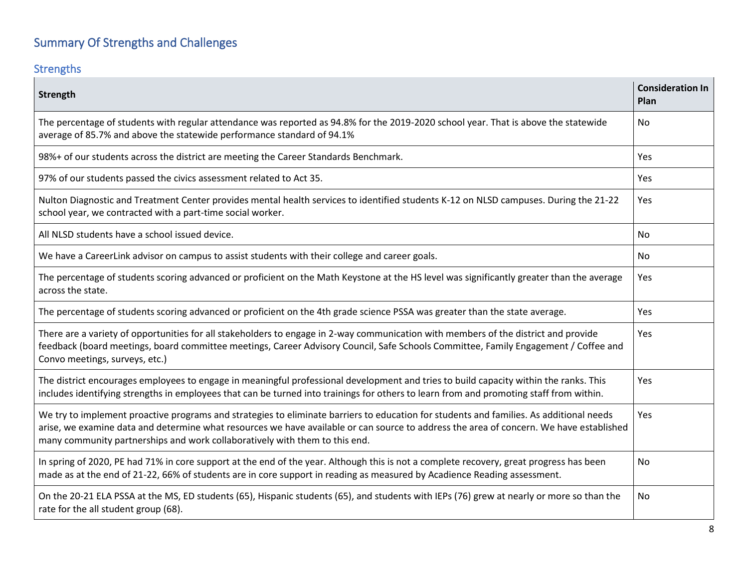# Summary Of Strengths and Challenges

## **Strengths**

| Strength                                                                                                                                                                                                                                                                                                                                                          | <b>Consideration In</b><br>Plan |
|-------------------------------------------------------------------------------------------------------------------------------------------------------------------------------------------------------------------------------------------------------------------------------------------------------------------------------------------------------------------|---------------------------------|
| The percentage of students with regular attendance was reported as 94.8% for the 2019-2020 school year. That is above the statewide<br>average of 85.7% and above the statewide performance standard of 94.1%                                                                                                                                                     | No.                             |
| 98%+ of our students across the district are meeting the Career Standards Benchmark.                                                                                                                                                                                                                                                                              | <b>Yes</b>                      |
| 97% of our students passed the civics assessment related to Act 35.                                                                                                                                                                                                                                                                                               | Yes                             |
| Nulton Diagnostic and Treatment Center provides mental health services to identified students K-12 on NLSD campuses. During the 21-22<br>school year, we contracted with a part-time social worker.                                                                                                                                                               | Yes                             |
| All NLSD students have a school issued device.                                                                                                                                                                                                                                                                                                                    | No                              |
| We have a CareerLink advisor on campus to assist students with their college and career goals.                                                                                                                                                                                                                                                                    | No                              |
| The percentage of students scoring advanced or proficient on the Math Keystone at the HS level was significantly greater than the average<br>across the state.                                                                                                                                                                                                    | Yes                             |
| The percentage of students scoring advanced or proficient on the 4th grade science PSSA was greater than the state average.                                                                                                                                                                                                                                       | <b>Yes</b>                      |
| There are a variety of opportunities for all stakeholders to engage in 2-way communication with members of the district and provide<br>feedback (board meetings, board committee meetings, Career Advisory Council, Safe Schools Committee, Family Engagement / Coffee and<br>Convo meetings, surveys, etc.)                                                      | Yes                             |
| The district encourages employees to engage in meaningful professional development and tries to build capacity within the ranks. This<br>includes identifying strengths in employees that can be turned into trainings for others to learn from and promoting staff from within.                                                                                  | Yes                             |
| We try to implement proactive programs and strategies to eliminate barriers to education for students and families. As additional needs<br>arise, we examine data and determine what resources we have available or can source to address the area of concern. We have established<br>many community partnerships and work collaboratively with them to this end. | Yes                             |
| In spring of 2020, PE had 71% in core support at the end of the year. Although this is not a complete recovery, great progress has been<br>made as at the end of 21-22, 66% of students are in core support in reading as measured by Acadience Reading assessment.                                                                                               | No                              |
| On the 20-21 ELA PSSA at the MS, ED students (65), Hispanic students (65), and students with IEPs (76) grew at nearly or more so than the<br>rate for the all student group (68).                                                                                                                                                                                 | <b>No</b>                       |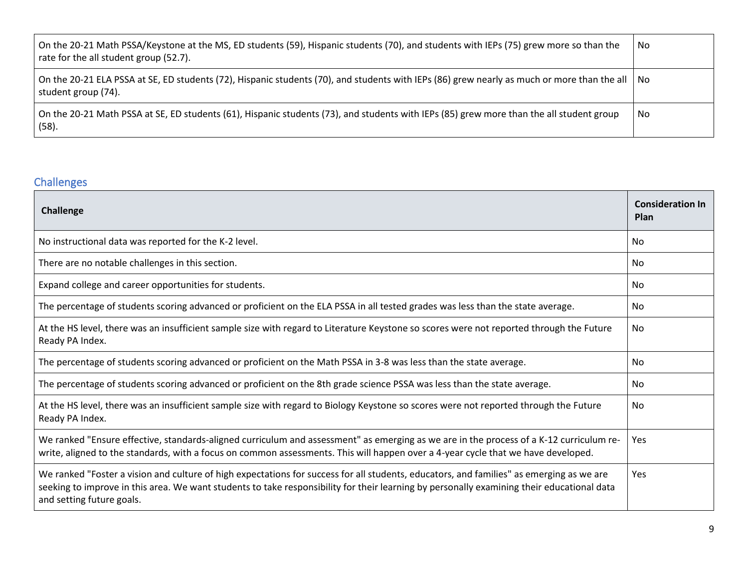| On the 20-21 Math PSSA/Keystone at the MS, ED students (59), Hispanic students (70), and students with IEPs (75) grew more so than the<br>rate for the all student group (52.7). | No  |
|----------------------------------------------------------------------------------------------------------------------------------------------------------------------------------|-----|
| On the 20-21 ELA PSSA at SE, ED students (72), Hispanic students (70), and students with IEPs (86) grew nearly as much or more than the all   No<br>student group (74).          |     |
| On the 20-21 Math PSSA at SE, ED students (61), Hispanic students (73), and students with IEPs (85) grew more than the all student group<br>(58).                                | No. |

### Challenges

| <b>Challenge</b>                                                                                                                                                                                                                                                                                                    | <b>Consideration In</b><br>Plan |
|---------------------------------------------------------------------------------------------------------------------------------------------------------------------------------------------------------------------------------------------------------------------------------------------------------------------|---------------------------------|
| No instructional data was reported for the K-2 level.                                                                                                                                                                                                                                                               | No.                             |
| There are no notable challenges in this section.                                                                                                                                                                                                                                                                    | No.                             |
| Expand college and career opportunities for students.                                                                                                                                                                                                                                                               | No.                             |
| The percentage of students scoring advanced or proficient on the ELA PSSA in all tested grades was less than the state average.                                                                                                                                                                                     | No.                             |
| At the HS level, there was an insufficient sample size with regard to Literature Keystone so scores were not reported through the Future<br>Ready PA Index.                                                                                                                                                         | No                              |
| The percentage of students scoring advanced or proficient on the Math PSSA in 3-8 was less than the state average.                                                                                                                                                                                                  | No.                             |
| The percentage of students scoring advanced or proficient on the 8th grade science PSSA was less than the state average.                                                                                                                                                                                            | No.                             |
| At the HS level, there was an insufficient sample size with regard to Biology Keystone so scores were not reported through the Future<br>Ready PA Index.                                                                                                                                                            | No.                             |
| We ranked "Ensure effective, standards-aligned curriculum and assessment" as emerging as we are in the process of a K-12 curriculum re-<br>write, aligned to the standards, with a focus on common assessments. This will happen over a 4-year cycle that we have developed.                                        | Yes                             |
| We ranked "Foster a vision and culture of high expectations for success for all students, educators, and families" as emerging as we are<br>seeking to improve in this area. We want students to take responsibility for their learning by personally examining their educational data<br>and setting future goals. | Yes                             |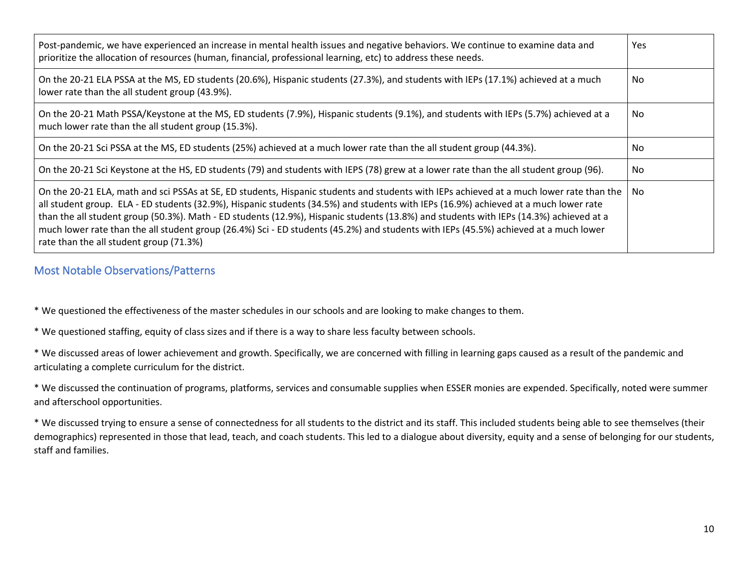| Post-pandemic, we have experienced an increase in mental health issues and negative behaviors. We continue to examine data and<br>prioritize the allocation of resources (human, financial, professional learning, etc) to address these needs.                                                                                                                                                                                                                                                                                                                                                               | <b>Yes</b> |
|---------------------------------------------------------------------------------------------------------------------------------------------------------------------------------------------------------------------------------------------------------------------------------------------------------------------------------------------------------------------------------------------------------------------------------------------------------------------------------------------------------------------------------------------------------------------------------------------------------------|------------|
| On the 20-21 ELA PSSA at the MS, ED students (20.6%), Hispanic students (27.3%), and students with IEPs (17.1%) achieved at a much<br>lower rate than the all student group (43.9%).                                                                                                                                                                                                                                                                                                                                                                                                                          | No.        |
| On the 20-21 Math PSSA/Keystone at the MS, ED students (7.9%), Hispanic students (9.1%), and students with IEPs (5.7%) achieved at a<br>much lower rate than the all student group (15.3%).                                                                                                                                                                                                                                                                                                                                                                                                                   | No.        |
| On the 20-21 Sci PSSA at the MS, ED students (25%) achieved at a much lower rate than the all student group (44.3%).                                                                                                                                                                                                                                                                                                                                                                                                                                                                                          | No.        |
| On the 20-21 Sci Keystone at the HS, ED students (79) and students with IEPS (78) grew at a lower rate than the all student group (96).                                                                                                                                                                                                                                                                                                                                                                                                                                                                       | No.        |
| On the 20-21 ELA, math and sci PSSAs at SE, ED students, Hispanic students and students with IEPs achieved at a much lower rate than the<br>all student group. ELA - ED students (32.9%), Hispanic students (34.5%) and students with IEPs (16.9%) achieved at a much lower rate<br>than the all student group (50.3%). Math - ED students (12.9%), Hispanic students (13.8%) and students with IEPs (14.3%) achieved at a<br>much lower rate than the all student group (26.4%) Sci - ED students (45.2%) and students with IEPs (45.5%) achieved at a much lower<br>rate than the all student group (71.3%) | No.        |

#### Most Notable Observations/Patterns

\* We questioned the effectiveness of the master schedules in our schools and are looking to make changes to them.

\* We questioned staffing, equity of class sizes and if there is a way to share less faculty between schools.

\* We discussed areas of lower achievement and growth. Specifically, we are concerned with filling in learning gaps caused as a result of the pandemic and articulating a complete curriculum for the district.

\* We discussed the continuation of programs, platforms, services and consumable supplies when ESSER monies are expended. Specifically, noted were summer and afterschool opportunities.

\* We discussed trying to ensure a sense of connectedness for all students to the district and its staff. This included students being able to see themselves (their demographics) represented in those that lead, teach, and coach students. This led to a dialogue about diversity, equity and a sense of belonging for our students, staff and families.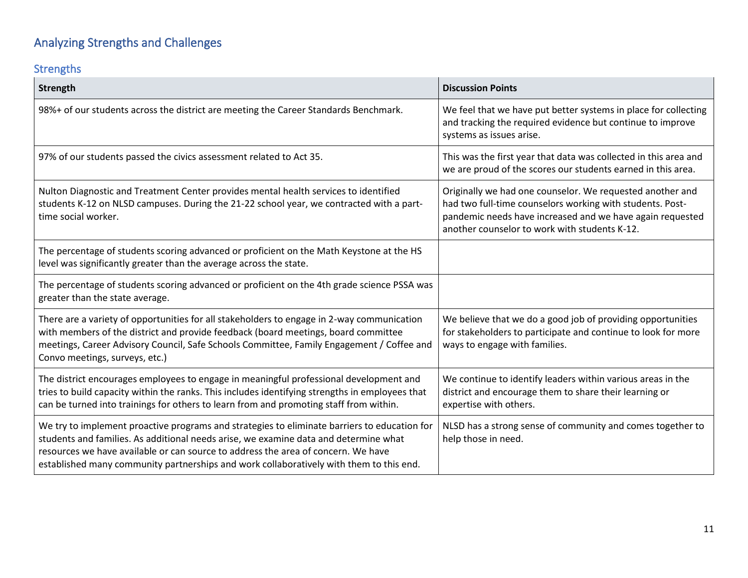# Analyzing Strengths and Challenges

### Strengths

| Strength                                                                                                                                                                                                                                                                                                                                                             | <b>Discussion Points</b>                                                                                                                                                                                                             |
|----------------------------------------------------------------------------------------------------------------------------------------------------------------------------------------------------------------------------------------------------------------------------------------------------------------------------------------------------------------------|--------------------------------------------------------------------------------------------------------------------------------------------------------------------------------------------------------------------------------------|
| 98%+ of our students across the district are meeting the Career Standards Benchmark.                                                                                                                                                                                                                                                                                 | We feel that we have put better systems in place for collecting<br>and tracking the required evidence but continue to improve<br>systems as issues arise.                                                                            |
| 97% of our students passed the civics assessment related to Act 35.                                                                                                                                                                                                                                                                                                  | This was the first year that data was collected in this area and<br>we are proud of the scores our students earned in this area.                                                                                                     |
| Nulton Diagnostic and Treatment Center provides mental health services to identified<br>students K-12 on NLSD campuses. During the 21-22 school year, we contracted with a part-<br>time social worker.                                                                                                                                                              | Originally we had one counselor. We requested another and<br>had two full-time counselors working with students. Post-<br>pandemic needs have increased and we have again requested<br>another counselor to work with students K-12. |
| The percentage of students scoring advanced or proficient on the Math Keystone at the HS<br>level was significantly greater than the average across the state.                                                                                                                                                                                                       |                                                                                                                                                                                                                                      |
| The percentage of students scoring advanced or proficient on the 4th grade science PSSA was<br>greater than the state average.                                                                                                                                                                                                                                       |                                                                                                                                                                                                                                      |
| There are a variety of opportunities for all stakeholders to engage in 2-way communication<br>with members of the district and provide feedback (board meetings, board committee<br>meetings, Career Advisory Council, Safe Schools Committee, Family Engagement / Coffee and<br>Convo meetings, surveys, etc.)                                                      | We believe that we do a good job of providing opportunities<br>for stakeholders to participate and continue to look for more<br>ways to engage with families.                                                                        |
| The district encourages employees to engage in meaningful professional development and<br>tries to build capacity within the ranks. This includes identifying strengths in employees that<br>can be turned into trainings for others to learn from and promoting staff from within.                                                                                  | We continue to identify leaders within various areas in the<br>district and encourage them to share their learning or<br>expertise with others.                                                                                      |
| We try to implement proactive programs and strategies to eliminate barriers to education for<br>students and families. As additional needs arise, we examine data and determine what<br>resources we have available or can source to address the area of concern. We have<br>established many community partnerships and work collaboratively with them to this end. | NLSD has a strong sense of community and comes together to<br>help those in need.                                                                                                                                                    |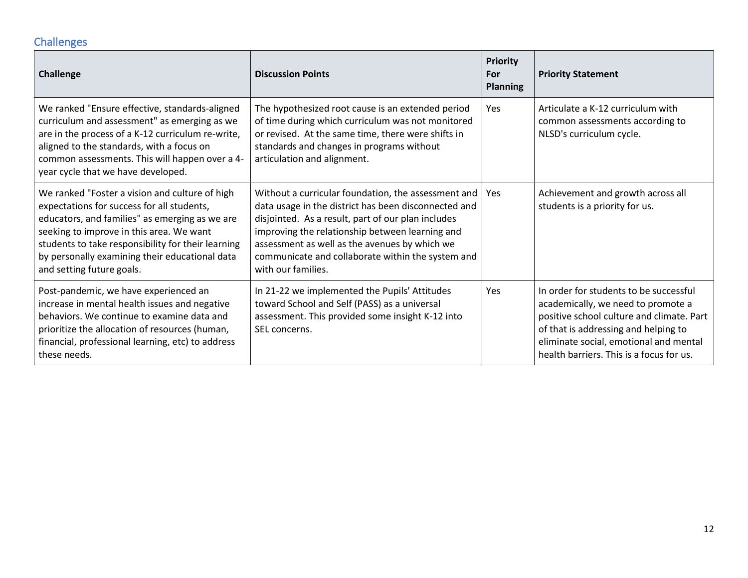## **Challenges**

| <b>Challenge</b>                                                                                                                                                                                                                                                                                                                | <b>Discussion Points</b>                                                                                                                                                                                                                                                                                                                         | <b>Priority</b><br>For<br><b>Planning</b> | <b>Priority Statement</b>                                                                                                                                                                                                                               |
|---------------------------------------------------------------------------------------------------------------------------------------------------------------------------------------------------------------------------------------------------------------------------------------------------------------------------------|--------------------------------------------------------------------------------------------------------------------------------------------------------------------------------------------------------------------------------------------------------------------------------------------------------------------------------------------------|-------------------------------------------|---------------------------------------------------------------------------------------------------------------------------------------------------------------------------------------------------------------------------------------------------------|
| We ranked "Ensure effective, standards-aligned<br>curriculum and assessment" as emerging as we<br>are in the process of a K-12 curriculum re-write,<br>aligned to the standards, with a focus on<br>common assessments. This will happen over a 4-<br>year cycle that we have developed.                                        | The hypothesized root cause is an extended period<br>of time during which curriculum was not monitored<br>or revised. At the same time, there were shifts in<br>standards and changes in programs without<br>articulation and alignment.                                                                                                         | <b>Yes</b>                                | Articulate a K-12 curriculum with<br>common assessments according to<br>NLSD's curriculum cycle.                                                                                                                                                        |
| We ranked "Foster a vision and culture of high<br>expectations for success for all students,<br>educators, and families" as emerging as we are<br>seeking to improve in this area. We want<br>students to take responsibility for their learning<br>by personally examining their educational data<br>and setting future goals. | Without a curricular foundation, the assessment and<br>data usage in the district has been disconnected and<br>disjointed. As a result, part of our plan includes<br>improving the relationship between learning and<br>assessment as well as the avenues by which we<br>communicate and collaborate within the system and<br>with our families. | Yes                                       | Achievement and growth across all<br>students is a priority for us.                                                                                                                                                                                     |
| Post-pandemic, we have experienced an<br>increase in mental health issues and negative<br>behaviors. We continue to examine data and<br>prioritize the allocation of resources (human,<br>financial, professional learning, etc) to address<br>these needs.                                                                     | In 21-22 we implemented the Pupils' Attitudes<br>toward School and Self (PASS) as a universal<br>assessment. This provided some insight K-12 into<br>SEL concerns.                                                                                                                                                                               | <b>Yes</b>                                | In order for students to be successful<br>academically, we need to promote a<br>positive school culture and climate. Part<br>of that is addressing and helping to<br>eliminate social, emotional and mental<br>health barriers. This is a focus for us. |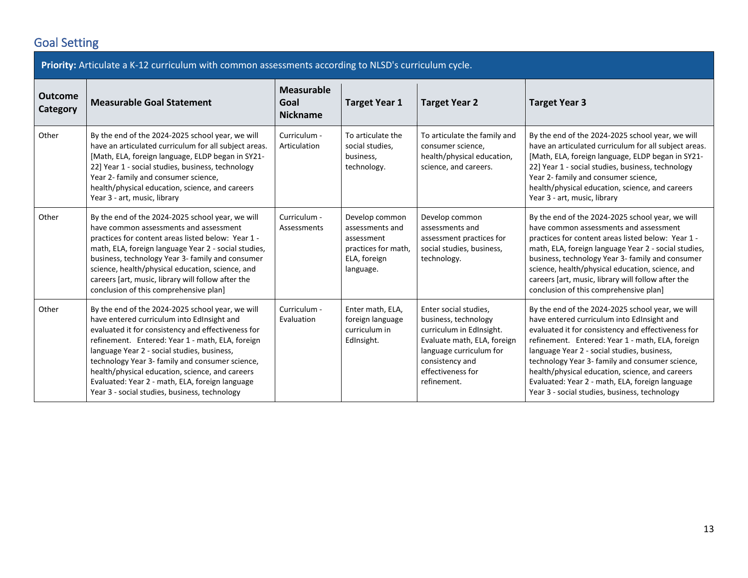## Goal Setting

| Priority: Articulate a K-12 curriculum with common assessments according to NLSD's curriculum cycle. |                                                                                                                                                                                                                                                                                                                                                                                                                                                                   |                                              |                                                                                                     |                                                                                                                                                                                            |                                                                                                                                                                                                                                                                                                                                                                                                                                                                   |  |  |
|------------------------------------------------------------------------------------------------------|-------------------------------------------------------------------------------------------------------------------------------------------------------------------------------------------------------------------------------------------------------------------------------------------------------------------------------------------------------------------------------------------------------------------------------------------------------------------|----------------------------------------------|-----------------------------------------------------------------------------------------------------|--------------------------------------------------------------------------------------------------------------------------------------------------------------------------------------------|-------------------------------------------------------------------------------------------------------------------------------------------------------------------------------------------------------------------------------------------------------------------------------------------------------------------------------------------------------------------------------------------------------------------------------------------------------------------|--|--|
| <b>Outcome</b><br>Category                                                                           | <b>Measurable Goal Statement</b>                                                                                                                                                                                                                                                                                                                                                                                                                                  | <b>Measurable</b><br>Goal<br><b>Nickname</b> | <b>Target Year 1</b>                                                                                | <b>Target Year 2</b>                                                                                                                                                                       | <b>Target Year 3</b>                                                                                                                                                                                                                                                                                                                                                                                                                                              |  |  |
| Other                                                                                                | By the end of the 2024-2025 school year, we will<br>have an articulated curriculum for all subject areas.<br>[Math, ELA, foreign language, ELDP began in SY21-<br>22] Year 1 - social studies, business, technology<br>Year 2- family and consumer science,<br>health/physical education, science, and careers<br>Year 3 - art, music, library                                                                                                                    | Curriculum -<br>Articulation                 | To articulate the<br>social studies,<br>business,<br>technology.                                    | To articulate the family and<br>consumer science,<br>health/physical education,<br>science, and careers.                                                                                   | By the end of the 2024-2025 school year, we will<br>have an articulated curriculum for all subject areas.<br>[Math, ELA, foreign language, ELDP began in SY21-<br>22] Year 1 - social studies, business, technology<br>Year 2- family and consumer science,<br>health/physical education, science, and careers<br>Year 3 - art, music, library                                                                                                                    |  |  |
| Other                                                                                                | By the end of the 2024-2025 school year, we will<br>have common assessments and assessment<br>practices for content areas listed below: Year 1 -<br>math, ELA, foreign language Year 2 - social studies,<br>business, technology Year 3- family and consumer<br>science, health/physical education, science, and<br>careers [art, music, library will follow after the<br>conclusion of this comprehensive plan]                                                  | Curriculum -<br>Assessments                  | Develop common<br>assessments and<br>assessment<br>practices for math,<br>ELA, foreign<br>language. | Develop common<br>assessments and<br>assessment practices for<br>social studies, business,<br>technology.                                                                                  | By the end of the 2024-2025 school year, we will<br>have common assessments and assessment<br>practices for content areas listed below: Year 1 -<br>math, ELA, foreign language Year 2 - social studies,<br>business, technology Year 3- family and consumer<br>science, health/physical education, science, and<br>careers [art, music, library will follow after the<br>conclusion of this comprehensive plan]                                                  |  |  |
| Other                                                                                                | By the end of the 2024-2025 school year, we will<br>have entered curriculum into EdInsight and<br>evaluated it for consistency and effectiveness for<br>refinement. Entered: Year 1 - math, ELA, foreign<br>language Year 2 - social studies, business,<br>technology Year 3- family and consumer science,<br>health/physical education, science, and careers<br>Evaluated: Year 2 - math, ELA, foreign language<br>Year 3 - social studies, business, technology | Curriculum -<br>Evaluation                   | Enter math, ELA,<br>foreign language<br>curriculum in<br>EdInsight.                                 | Enter social studies,<br>business, technology<br>curriculum in EdInsight.<br>Evaluate math, ELA, foreign<br>language curriculum for<br>consistency and<br>effectiveness for<br>refinement. | By the end of the 2024-2025 school year, we will<br>have entered curriculum into EdInsight and<br>evaluated it for consistency and effectiveness for<br>refinement. Entered: Year 1 - math, ELA, foreign<br>language Year 2 - social studies, business,<br>technology Year 3- family and consumer science,<br>health/physical education, science, and careers<br>Evaluated: Year 2 - math, ELA, foreign language<br>Year 3 - social studies, business, technology |  |  |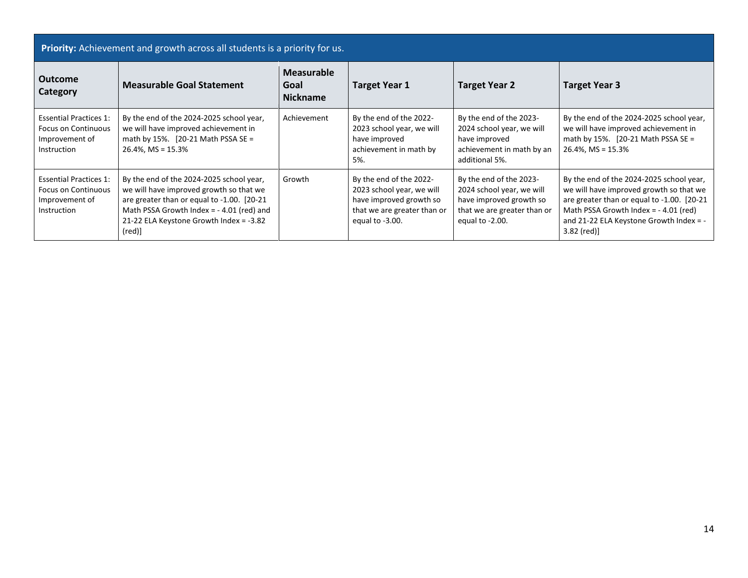| Priority: Achievement and growth across all students is a priority for us.                   |                                                                                                                                                                                                                                               |                                       |                                                                                                                                   |                                                                                                                                   |                                                                                                                                                                                                                                       |  |
|----------------------------------------------------------------------------------------------|-----------------------------------------------------------------------------------------------------------------------------------------------------------------------------------------------------------------------------------------------|---------------------------------------|-----------------------------------------------------------------------------------------------------------------------------------|-----------------------------------------------------------------------------------------------------------------------------------|---------------------------------------------------------------------------------------------------------------------------------------------------------------------------------------------------------------------------------------|--|
| <b>Outcome</b><br>Category                                                                   | <b>Measurable Goal Statement</b>                                                                                                                                                                                                              | Measurable<br>Goal<br><b>Nickname</b> | <b>Target Year 1</b>                                                                                                              | <b>Target Year 2</b>                                                                                                              | <b>Target Year 3</b>                                                                                                                                                                                                                  |  |
| <b>Essential Practices 1:</b><br><b>Focus on Continuous</b><br>Improvement of<br>Instruction | By the end of the 2024-2025 school year,<br>we will have improved achievement in<br>math by 15%. $[20-21 \text{ Math }$ PSSA SE =<br>$26.4\%$ , MS = 15.3%                                                                                    | Achievement                           | By the end of the 2022-<br>2023 school year, we will<br>have improved<br>achievement in math by<br>5%.                            | By the end of the 2023-<br>2024 school year, we will<br>have improved<br>achievement in math by an<br>additional 5%.              | By the end of the 2024-2025 school year,<br>we will have improved achievement in<br>math by 15%. $[20-21 \text{ Math }$ PSSA SE =<br>$26.4\%$ , MS = 15.3%                                                                            |  |
| <b>Essential Practices 1:</b><br><b>Focus on Continuous</b><br>Improvement of<br>Instruction | By the end of the 2024-2025 school year,<br>we will have improved growth so that we<br>are greater than or equal to -1.00. [20-21]<br>Math PSSA Growth Index = $-4.01$ (red) and<br>21-22 ELA Keystone Growth Index = -3.82<br>$(\text{red})$ | Growth                                | By the end of the 2022-<br>2023 school year, we will<br>have improved growth so<br>that we are greater than or<br>equal to -3.00. | By the end of the 2023-<br>2024 school year, we will<br>have improved growth so<br>that we are greater than or<br>equal to -2.00. | By the end of the 2024-2025 school year,<br>we will have improved growth so that we<br>are greater than or equal to -1.00. [20-21<br>Math PSSA Growth Index = $-4.01$ (red)<br>and 21-22 ELA Keystone Growth Index = -<br>3.82 (red)] |  |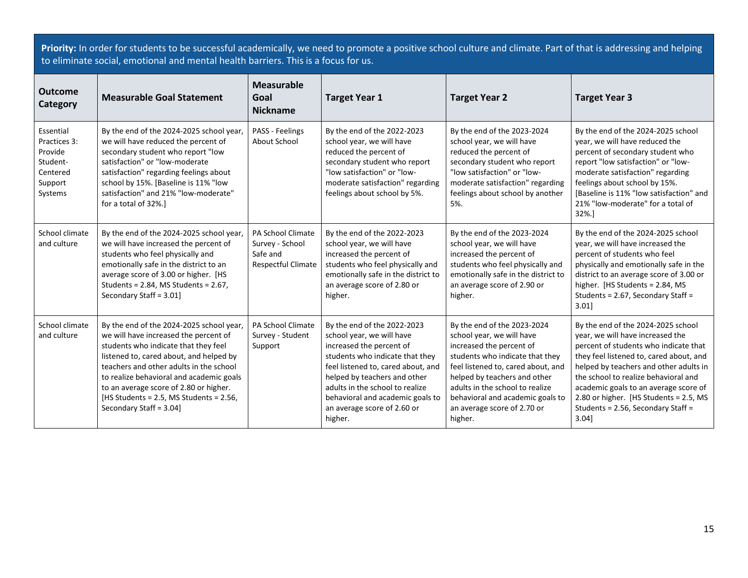**Priority:** In order for students to be successful academically, we need to promote a positive school culture and climate. Part of that is addressing and helping to eliminate social, emotional and mental health barriers. This is a focus for us.

| <b>Outcome</b><br>Category                                                         | <b>Measurable Goal Statement</b>                                                                                                                                                                                                                                                                                                                                            | <b>Measurable</b><br>Goal<br><b>Nickname</b>                                  | <b>Target Year 1</b>                                                                                                                                                                                                                                                                                           | <b>Target Year 2</b>                                                                                                                                                                                                                                                                                           | <b>Target Year 3</b>                                                                                                                                                                                                                                                                                                                                                          |
|------------------------------------------------------------------------------------|-----------------------------------------------------------------------------------------------------------------------------------------------------------------------------------------------------------------------------------------------------------------------------------------------------------------------------------------------------------------------------|-------------------------------------------------------------------------------|----------------------------------------------------------------------------------------------------------------------------------------------------------------------------------------------------------------------------------------------------------------------------------------------------------------|----------------------------------------------------------------------------------------------------------------------------------------------------------------------------------------------------------------------------------------------------------------------------------------------------------------|-------------------------------------------------------------------------------------------------------------------------------------------------------------------------------------------------------------------------------------------------------------------------------------------------------------------------------------------------------------------------------|
| Essential<br>Practices 3:<br>Provide<br>Student-<br>Centered<br>Support<br>Systems | By the end of the 2024-2025 school year,<br>we will have reduced the percent of<br>secondary student who report "low<br>satisfaction" or "low-moderate<br>satisfaction" regarding feelings about<br>school by 15%. [Baseline is 11% "low<br>satisfaction" and 21% "low-moderate"<br>for a total of 32%.]                                                                    | PASS - Feelings<br>About School                                               | By the end of the 2022-2023<br>school year, we will have<br>reduced the percent of<br>secondary student who report<br>"low satisfaction" or "low-<br>moderate satisfaction" regarding<br>feelings about school by 5%.                                                                                          | By the end of the 2023-2024<br>school year, we will have<br>reduced the percent of<br>secondary student who report<br>"low satisfaction" or "low-<br>moderate satisfaction" regarding<br>feelings about school by another<br>5%.                                                                               | By the end of the 2024-2025 school<br>year, we will have reduced the<br>percent of secondary student who<br>report "low satisfaction" or "low-<br>moderate satisfaction" regarding<br>feelings about school by 15%.<br>[Baseline is 11% "low satisfaction" and<br>21% "low-moderate" for a total of<br>32%.                                                                   |
| School climate<br>and culture                                                      | By the end of the 2024-2025 school year,<br>we will have increased the percent of<br>students who feel physically and<br>emotionally safe in the district to an<br>average score of 3.00 or higher. [HS<br>Students = 2.84, MS Students = 2.67,<br>Secondary Staff = 3.01]                                                                                                  | <b>PA School Climate</b><br>Survey - School<br>Safe and<br>Respectful Climate | By the end of the 2022-2023<br>school year, we will have<br>increased the percent of<br>students who feel physically and<br>emotionally safe in the district to<br>an average score of 2.80 or<br>higher.                                                                                                      | By the end of the 2023-2024<br>school year, we will have<br>increased the percent of<br>students who feel physically and<br>emotionally safe in the district to<br>an average score of 2.90 or<br>higher.                                                                                                      | By the end of the 2024-2025 school<br>year, we will have increased the<br>percent of students who feel<br>physically and emotionally safe in the<br>district to an average score of 3.00 or<br>higher. [HS Students = 2.84, MS<br>Students = 2.67, Secondary Staff =<br>3.01                                                                                                  |
| School climate<br>and culture                                                      | By the end of the 2024-2025 school year,<br>we will have increased the percent of<br>students who indicate that they feel<br>listened to, cared about, and helped by<br>teachers and other adults in the school<br>to realize behavioral and academic goals<br>to an average score of 2.80 or higher.<br>[HS Students = 2.5, MS Students = 2.56,<br>Secondary Staff = 3.04] | PA School Climate<br>Survey - Student<br>Support                              | By the end of the 2022-2023<br>school year, we will have<br>increased the percent of<br>students who indicate that they<br>feel listened to, cared about, and<br>helped by teachers and other<br>adults in the school to realize<br>behavioral and academic goals to<br>an average score of 2.60 or<br>higher. | By the end of the 2023-2024<br>school year, we will have<br>increased the percent of<br>students who indicate that they<br>feel listened to, cared about, and<br>helped by teachers and other<br>adults in the school to realize<br>behavioral and academic goals to<br>an average score of 2.70 or<br>higher. | By the end of the 2024-2025 school<br>year, we will have increased the<br>percent of students who indicate that<br>they feel listened to, cared about, and<br>helped by teachers and other adults in<br>the school to realize behavioral and<br>academic goals to an average score of<br>2.80 or higher. [HS Students = 2.5, MS<br>Students = 2.56, Secondary Staff =<br>3.04 |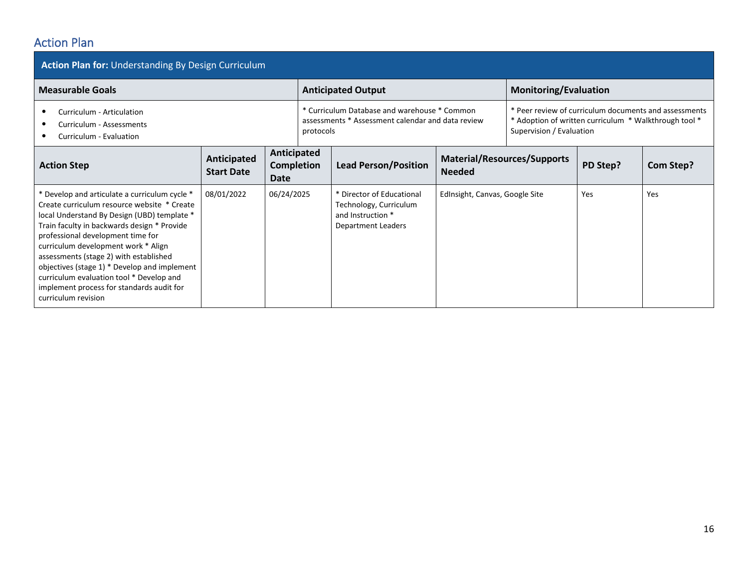## Action Plan

| <b>Action Plan for: Understanding By Design Curriculum</b>                                                                                                                                                                                                                                                                                                                                                                                                                       |                                  |                                   |  |                                                                                                |                                                                                                                                                                                                                                                 |                              |          |           |  |  |
|----------------------------------------------------------------------------------------------------------------------------------------------------------------------------------------------------------------------------------------------------------------------------------------------------------------------------------------------------------------------------------------------------------------------------------------------------------------------------------|----------------------------------|-----------------------------------|--|------------------------------------------------------------------------------------------------|-------------------------------------------------------------------------------------------------------------------------------------------------------------------------------------------------------------------------------------------------|------------------------------|----------|-----------|--|--|
| <b>Measurable Goals</b>                                                                                                                                                                                                                                                                                                                                                                                                                                                          |                                  |                                   |  | <b>Anticipated Output</b>                                                                      |                                                                                                                                                                                                                                                 | <b>Monitoring/Evaluation</b> |          |           |  |  |
| Curriculum - Articulation<br>Curriculum - Assessments<br>protocols<br>Curriculum - Evaluation                                                                                                                                                                                                                                                                                                                                                                                    |                                  |                                   |  |                                                                                                | * Curriculum Database and warehouse * Common<br>* Peer review of curriculum documents and assessments<br>assessments * Assessment calendar and data review<br>* Adoption of written curriculum * Walkthrough tool *<br>Supervision / Evaluation |                              |          |           |  |  |
| <b>Action Step</b>                                                                                                                                                                                                                                                                                                                                                                                                                                                               | Anticipated<br><b>Start Date</b> | Anticipated<br>Completion<br>Date |  | <b>Material/Resources/Supports</b><br><b>Lead Person/Position</b><br><b>Needed</b>             |                                                                                                                                                                                                                                                 |                              | PD Step? | Com Step? |  |  |
| * Develop and articulate a curriculum cycle *<br>Create curriculum resource website * Create<br>local Understand By Design (UBD) template *<br>Train faculty in backwards design * Provide<br>professional development time for<br>curriculum development work * Align<br>assessments (stage 2) with established<br>objectives (stage 1) * Develop and implement<br>curriculum evaluation tool * Develop and<br>implement process for standards audit for<br>curriculum revision | 08/01/2022                       | 06/24/2025                        |  | * Director of Educational<br>Technology, Curriculum<br>and Instruction *<br>Department Leaders | EdInsight, Canvas, Google Site                                                                                                                                                                                                                  |                              | Yes      | Yes       |  |  |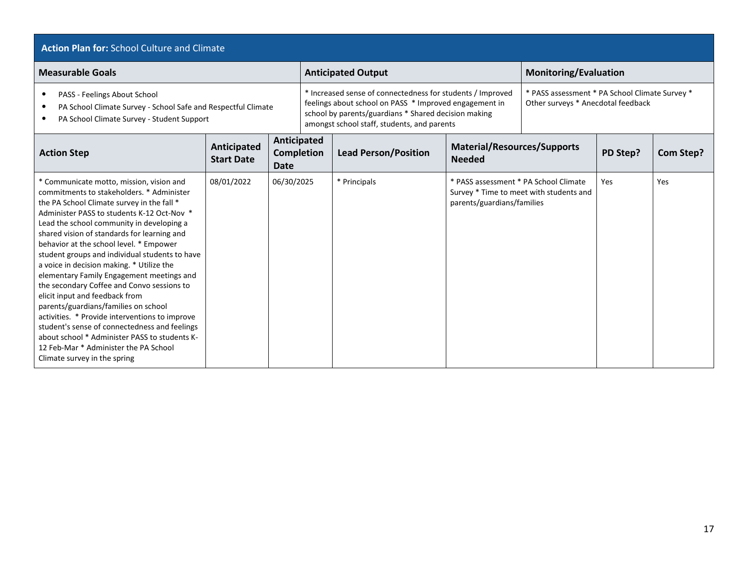#### **Action Plan for:** School Culture and Climate

| <b>Measurable Goals</b>                                                                                                                                                                                                                                                                                                                                                                                                                                                                                                                                                                                                                                                                                                                                                                                                   |                                  |                     |                   | <b>Anticipated Output</b>                                                                                                                                                                                                   |                                                                     | <b>Monitoring/Evaluation</b>                                                         |          |                  |  |
|---------------------------------------------------------------------------------------------------------------------------------------------------------------------------------------------------------------------------------------------------------------------------------------------------------------------------------------------------------------------------------------------------------------------------------------------------------------------------------------------------------------------------------------------------------------------------------------------------------------------------------------------------------------------------------------------------------------------------------------------------------------------------------------------------------------------------|----------------------------------|---------------------|-------------------|-----------------------------------------------------------------------------------------------------------------------------------------------------------------------------------------------------------------------------|---------------------------------------------------------------------|--------------------------------------------------------------------------------------|----------|------------------|--|
| PASS - Feelings About School<br>$\bullet$<br>PA School Climate Survey - School Safe and Respectful Climate<br>$\bullet$<br>PA School Climate Survey - Student Support<br>٠                                                                                                                                                                                                                                                                                                                                                                                                                                                                                                                                                                                                                                                |                                  |                     |                   | * Increased sense of connectedness for students / Improved<br>feelings about school on PASS * Improved engagement in<br>school by parents/guardians * Shared decision making<br>amongst school staff, students, and parents |                                                                     | * PASS assessment * PA School Climate Survey *<br>Other surveys * Anecdotal feedback |          |                  |  |
| <b>Action Step</b>                                                                                                                                                                                                                                                                                                                                                                                                                                                                                                                                                                                                                                                                                                                                                                                                        | Anticipated<br><b>Start Date</b> | Anticipated<br>Date | <b>Completion</b> | <b>Lead Person/Position</b>                                                                                                                                                                                                 | <b>Material/Resources/Supports</b><br><b>Needed</b>                 |                                                                                      | PD Step? | <b>Com Step?</b> |  |
| * Communicate motto, mission, vision and<br>commitments to stakeholders. * Administer<br>the PA School Climate survey in the fall *<br>Administer PASS to students K-12 Oct-Nov *<br>Lead the school community in developing a<br>shared vision of standards for learning and<br>behavior at the school level. * Empower<br>student groups and individual students to have<br>a voice in decision making. * Utilize the<br>elementary Family Engagement meetings and<br>the secondary Coffee and Convo sessions to<br>elicit input and feedback from<br>parents/guardians/families on school<br>activities. * Provide interventions to improve<br>student's sense of connectedness and feelings<br>about school * Administer PASS to students K-<br>12 Feb-Mar * Administer the PA School<br>Climate survey in the spring | 08/01/2022                       | 06/30/2025          |                   | * Principals                                                                                                                                                                                                                | * PASS assessment * PA School Climate<br>parents/guardians/families | Survey * Time to meet with students and                                              | Yes      | Yes              |  |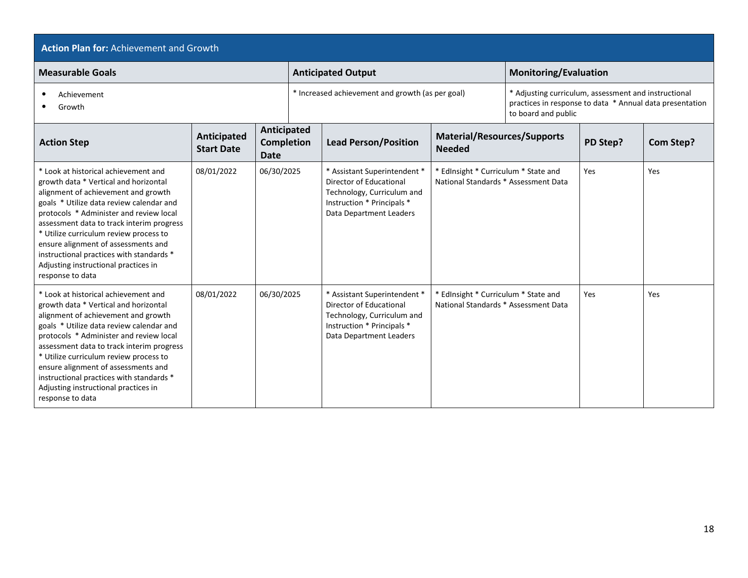| <b>Action Plan for: Achievement and Growth</b>                                                                                                                                                                                                                                                                                                                                                                                                    |                                         |                                                 |  |                                                                                                                                                |                                                                              |                                                                                                                  |          |                  |  |  |
|---------------------------------------------------------------------------------------------------------------------------------------------------------------------------------------------------------------------------------------------------------------------------------------------------------------------------------------------------------------------------------------------------------------------------------------------------|-----------------------------------------|-------------------------------------------------|--|------------------------------------------------------------------------------------------------------------------------------------------------|------------------------------------------------------------------------------|------------------------------------------------------------------------------------------------------------------|----------|------------------|--|--|
| <b>Measurable Goals</b>                                                                                                                                                                                                                                                                                                                                                                                                                           |                                         |                                                 |  | <b>Anticipated Output</b>                                                                                                                      |                                                                              | <b>Monitoring/Evaluation</b>                                                                                     |          |                  |  |  |
| Achievement<br>Growth                                                                                                                                                                                                                                                                                                                                                                                                                             |                                         |                                                 |  | * Increased achievement and growth (as per goal)                                                                                               | to board and public                                                          | * Adjusting curriculum, assessment and instructional<br>practices in response to data * Annual data presentation |          |                  |  |  |
| <b>Action Step</b>                                                                                                                                                                                                                                                                                                                                                                                                                                | <b>Anticipated</b><br><b>Start Date</b> | Anticipated<br><b>Completion</b><br><b>Date</b> |  | <b>Lead Person/Position</b>                                                                                                                    | <b>Material/Resources/Supports</b><br><b>Needed</b>                          |                                                                                                                  | PD Step? | <b>Com Step?</b> |  |  |
| * Look at historical achievement and<br>growth data * Vertical and horizontal<br>alignment of achievement and growth<br>goals * Utilize data review calendar and<br>protocols * Administer and review local<br>assessment data to track interim progress<br>* Utilize curriculum review process to<br>ensure alignment of assessments and<br>instructional practices with standards *<br>Adjusting instructional practices in<br>response to data | 08/01/2022                              | 06/30/2025                                      |  | * Assistant Superintendent *<br>Director of Educational<br>Technology, Curriculum and<br>Instruction * Principals *<br>Data Department Leaders | * EdInsight * Curriculum * State and<br>National Standards * Assessment Data |                                                                                                                  | Yes      | Yes              |  |  |
| * Look at historical achievement and<br>growth data * Vertical and horizontal<br>alignment of achievement and growth<br>goals * Utilize data review calendar and<br>protocols * Administer and review local<br>assessment data to track interim progress<br>* Utilize curriculum review process to<br>ensure alignment of assessments and<br>instructional practices with standards *<br>Adjusting instructional practices in<br>response to data | 08/01/2022                              | 06/30/2025                                      |  | * Assistant Superintendent *<br>Director of Educational<br>Technology, Curriculum and<br>Instruction * Principals *<br>Data Department Leaders | * EdInsight * Curriculum * State and<br>National Standards * Assessment Data |                                                                                                                  | Yes      | Yes              |  |  |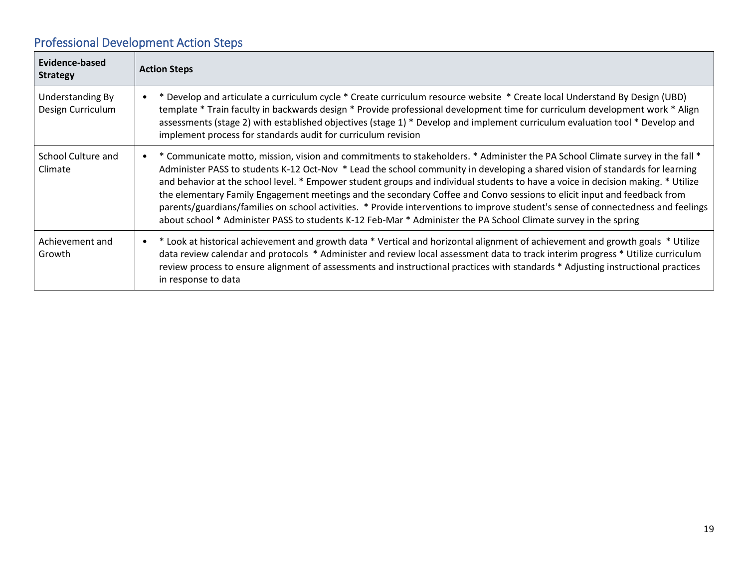# Professional Development Action Steps

| Evidence-based<br><b>Strategy</b>     | <b>Action Steps</b>                                                                                                                                                                                                                                                                                                                                                                                                                                                                                                                                                                                                                                                                                                                                                                               |
|---------------------------------------|---------------------------------------------------------------------------------------------------------------------------------------------------------------------------------------------------------------------------------------------------------------------------------------------------------------------------------------------------------------------------------------------------------------------------------------------------------------------------------------------------------------------------------------------------------------------------------------------------------------------------------------------------------------------------------------------------------------------------------------------------------------------------------------------------|
| Understanding By<br>Design Curriculum | Develop and articulate a curriculum cycle * Create curriculum resource website * Create local Understand By Design (UBD)<br>$\bullet$<br>template * Train faculty in backwards design * Provide professional development time for curriculum development work * Align<br>assessments (stage 2) with established objectives (stage 1) * Develop and implement curriculum evaluation tool * Develop and<br>implement process for standards audit for curriculum revision                                                                                                                                                                                                                                                                                                                            |
| School Culture and<br>Climate         | ' Communicate motto, mission, vision and commitments to stakeholders. * Administer the PA School Climate survey in the fall *<br>$\bullet$<br>Administer PASS to students K-12 Oct-Nov * Lead the school community in developing a shared vision of standards for learning<br>and behavior at the school level. * Empower student groups and individual students to have a voice in decision making. * Utilize<br>the elementary Family Engagement meetings and the secondary Coffee and Convo sessions to elicit input and feedback from<br>parents/guardians/families on school activities. * Provide interventions to improve student's sense of connectedness and feelings<br>about school * Administer PASS to students K-12 Feb-Mar * Administer the PA School Climate survey in the spring |
| Achievement and<br>Growth             | • * Look at historical achievement and growth data * Vertical and horizontal alignment of achievement and growth goals * Utilize<br>data review calendar and protocols * Administer and review local assessment data to track interim progress * Utilize curriculum<br>review process to ensure alignment of assessments and instructional practices with standards * Adjusting instructional practices<br>in response to data                                                                                                                                                                                                                                                                                                                                                                    |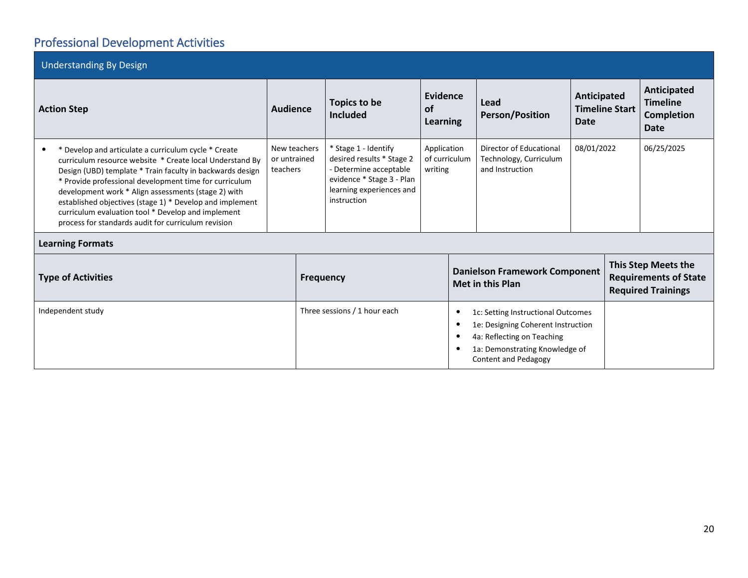# Professional Development Activities

| <b>Understanding By Design</b>                                                                                                                                                                                                                                                                                                                                                                                                                                          |                                          |                                                                                                                                                                |                                   |                                                  |                                                                                                                                                                         |                                              |            |                                                                                  |  |  |
|-------------------------------------------------------------------------------------------------------------------------------------------------------------------------------------------------------------------------------------------------------------------------------------------------------------------------------------------------------------------------------------------------------------------------------------------------------------------------|------------------------------------------|----------------------------------------------------------------------------------------------------------------------------------------------------------------|-----------------------------------|--------------------------------------------------|-------------------------------------------------------------------------------------------------------------------------------------------------------------------------|----------------------------------------------|------------|----------------------------------------------------------------------------------|--|--|
| <b>Action Step</b>                                                                                                                                                                                                                                                                                                                                                                                                                                                      | <b>Audience</b>                          | Topics to be<br><b>Included</b>                                                                                                                                | Evidence<br><b>of</b><br>Learning |                                                  | Lead<br><b>Person/Position</b>                                                                                                                                          | Anticipated<br><b>Timeline Start</b><br>Date |            | Anticipated<br><b>Timeline</b><br><b>Completion</b><br><b>Date</b>               |  |  |
| * Develop and articulate a curriculum cycle * Create<br>curriculum resource website * Create local Understand By<br>Design (UBD) template * Train faculty in backwards design<br>* Provide professional development time for curriculum<br>development work * Align assessments (stage 2) with<br>established objectives (stage 1) * Develop and implement<br>curriculum evaluation tool * Develop and implement<br>process for standards audit for curriculum revision | New teachers<br>or untrained<br>teachers | * Stage 1 - Identify<br>desired results * Stage 2<br>- Determine acceptable<br>writing<br>evidence * Stage 3 - Plan<br>learning experiences and<br>instruction |                                   | Application<br>of curriculum                     | Director of Educational<br>Technology, Curriculum<br>and Instruction                                                                                                    |                                              | 08/01/2022 | 06/25/2025                                                                       |  |  |
| <b>Learning Formats</b>                                                                                                                                                                                                                                                                                                                                                                                                                                                 |                                          |                                                                                                                                                                |                                   |                                                  |                                                                                                                                                                         |                                              |            |                                                                                  |  |  |
| <b>Type of Activities</b>                                                                                                                                                                                                                                                                                                                                                                                                                                               | <b>Frequency</b>                         |                                                                                                                                                                |                                   |                                                  | <b>Danielson Framework Component</b><br><b>Met in this Plan</b>                                                                                                         |                                              |            | This Step Meets the<br><b>Requirements of State</b><br><b>Required Trainings</b> |  |  |
| Independent study                                                                                                                                                                                                                                                                                                                                                                                                                                                       |                                          | Three sessions / 1 hour each                                                                                                                                   |                                   | $\bullet$<br>$\bullet$<br>$\bullet$<br>$\bullet$ | 1c: Setting Instructional Outcomes<br>1e: Designing Coherent Instruction<br>4a: Reflecting on Teaching<br>1a: Demonstrating Knowledge of<br><b>Content and Pedagogy</b> |                                              |            |                                                                                  |  |  |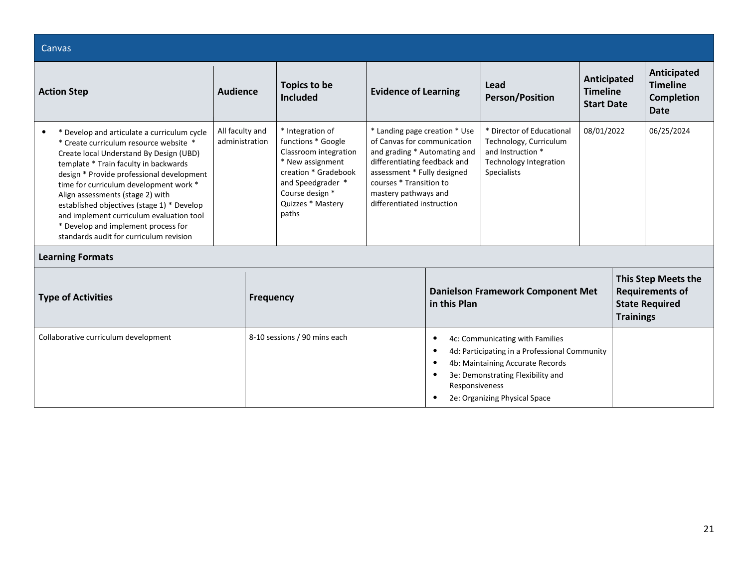| Canvas                                                                                                                                                                                                                                                                                                                                                                                                                                                                           |                                   |                  |                                                                                                                                                                                   |                                                                                                                                                                                                                                              |                                                       |                                                                                                                                                                                            |                                                     |                  |                                                                        |
|----------------------------------------------------------------------------------------------------------------------------------------------------------------------------------------------------------------------------------------------------------------------------------------------------------------------------------------------------------------------------------------------------------------------------------------------------------------------------------|-----------------------------------|------------------|-----------------------------------------------------------------------------------------------------------------------------------------------------------------------------------|----------------------------------------------------------------------------------------------------------------------------------------------------------------------------------------------------------------------------------------------|-------------------------------------------------------|--------------------------------------------------------------------------------------------------------------------------------------------------------------------------------------------|-----------------------------------------------------|------------------|------------------------------------------------------------------------|
| <b>Action Step</b>                                                                                                                                                                                                                                                                                                                                                                                                                                                               | <b>Audience</b>                   |                  | Topics to be<br><b>Included</b>                                                                                                                                                   | <b>Evidence of Learning</b>                                                                                                                                                                                                                  |                                                       | Lead<br><b>Person/Position</b>                                                                                                                                                             | Anticipated<br><b>Timeline</b><br><b>Start Date</b> |                  | Anticipated<br><b>Timeline</b><br><b>Completion</b><br><b>Date</b>     |
| * Develop and articulate a curriculum cycle<br>* Create curriculum resource website *<br>Create local Understand By Design (UBD)<br>template * Train faculty in backwards<br>design * Provide professional development<br>time for curriculum development work *<br>Align assessments (stage 2) with<br>established objectives (stage 1) * Develop<br>and implement curriculum evaluation tool<br>* Develop and implement process for<br>standards audit for curriculum revision | All faculty and<br>administration |                  | * Integration of<br>functions * Google<br>Classroom integration<br>* New assignment<br>creation * Gradebook<br>and Speedgrader *<br>Course design *<br>Quizzes * Mastery<br>paths | * Landing page creation * Use<br>of Canvas for communication<br>and grading * Automating and<br>differentiating feedback and<br>assessment * Fully designed<br>courses * Transition to<br>mastery pathways and<br>differentiated instruction |                                                       | * Director of Educational<br>Technology, Curriculum<br>and Instruction *<br><b>Technology Integration</b><br><b>Specialists</b>                                                            |                                                     | 08/01/2022       | 06/25/2024                                                             |
| <b>Learning Formats</b>                                                                                                                                                                                                                                                                                                                                                                                                                                                          |                                   |                  |                                                                                                                                                                                   |                                                                                                                                                                                                                                              |                                                       |                                                                                                                                                                                            |                                                     |                  |                                                                        |
| <b>Type of Activities</b>                                                                                                                                                                                                                                                                                                                                                                                                                                                        |                                   | <b>Frequency</b> |                                                                                                                                                                                   |                                                                                                                                                                                                                                              | in this Plan                                          | <b>Danielson Framework Component Met</b>                                                                                                                                                   |                                                     | <b>Trainings</b> | This Step Meets the<br><b>Requirements of</b><br><b>State Required</b> |
| Collaborative curriculum development                                                                                                                                                                                                                                                                                                                                                                                                                                             |                                   |                  | 8-10 sessions / 90 mins each                                                                                                                                                      |                                                                                                                                                                                                                                              | $\bullet$<br>$\bullet$<br>$\bullet$<br>Responsiveness | 4c: Communicating with Families<br>4d: Participating in a Professional Community<br>4b: Maintaining Accurate Records<br>3e: Demonstrating Flexibility and<br>2e: Organizing Physical Space |                                                     |                  |                                                                        |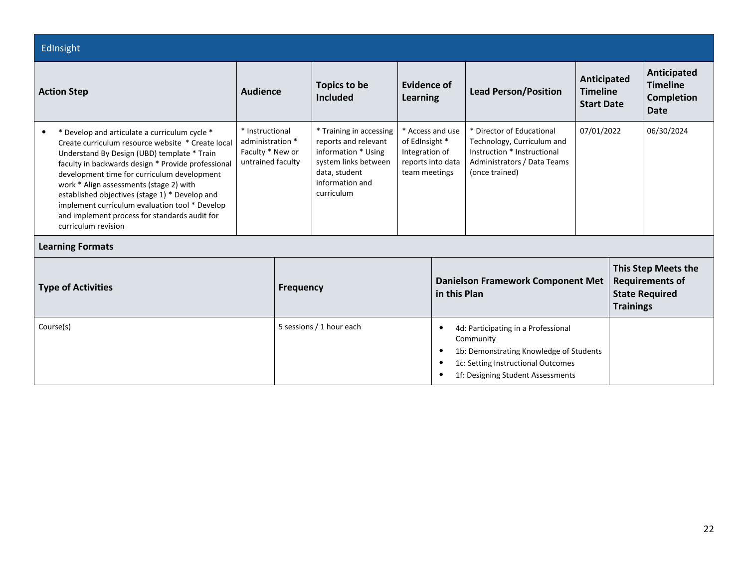| EdInsight                                                                                                                                                                                                                                                                                                                                                                                                                                                                     |                                                                              |                          |                                                                                                                                                  |                                                                                            |                                                                                                                                                                                                                            |                                                                                                                                         |            |                                                            |                                                                        |
|-------------------------------------------------------------------------------------------------------------------------------------------------------------------------------------------------------------------------------------------------------------------------------------------------------------------------------------------------------------------------------------------------------------------------------------------------------------------------------|------------------------------------------------------------------------------|--------------------------|--------------------------------------------------------------------------------------------------------------------------------------------------|--------------------------------------------------------------------------------------------|----------------------------------------------------------------------------------------------------------------------------------------------------------------------------------------------------------------------------|-----------------------------------------------------------------------------------------------------------------------------------------|------------|------------------------------------------------------------|------------------------------------------------------------------------|
| <b>Audience</b><br><b>Action Step</b>                                                                                                                                                                                                                                                                                                                                                                                                                                         |                                                                              |                          | <b>Topics to be</b><br>Evidence of<br><b>Included</b><br>Learning                                                                                |                                                                                            |                                                                                                                                                                                                                            | <b>Lead Person/Position</b>                                                                                                             |            | <b>Anticipated</b><br><b>Timeline</b><br><b>Start Date</b> | Anticipated<br><b>Timeline</b><br><b>Completion</b><br>Date            |
| * Develop and articulate a curriculum cycle *<br>Create curriculum resource website * Create local<br>Understand By Design (UBD) template * Train<br>faculty in backwards design * Provide professional<br>development time for curriculum development<br>work * Align assessments (stage 2) with<br>established objectives (stage 1) * Develop and<br>implement curriculum evaluation tool * Develop<br>and implement process for standards audit for<br>curriculum revision | * Instructional<br>administration *<br>Faculty * New or<br>untrained faculty |                          | * Training in accessing<br>reports and relevant<br>information * Using<br>system links between<br>data, student<br>information and<br>curriculum | * Access and use<br>of EdInsight *<br>Integration of<br>reports into data<br>team meetings |                                                                                                                                                                                                                            | * Director of Educational<br>Technology, Curriculum and<br>Instruction * Instructional<br>Administrators / Data Teams<br>(once trained) | 07/01/2022 |                                                            | 06/30/2024                                                             |
| <b>Learning Formats</b>                                                                                                                                                                                                                                                                                                                                                                                                                                                       |                                                                              |                          |                                                                                                                                                  |                                                                                            |                                                                                                                                                                                                                            |                                                                                                                                         |            |                                                            |                                                                        |
| <b>Type of Activities</b>                                                                                                                                                                                                                                                                                                                                                                                                                                                     |                                                                              | <b>Frequency</b>         |                                                                                                                                                  |                                                                                            | in this Plan                                                                                                                                                                                                               | <b>Danielson Framework Component Met</b>                                                                                                |            | <b>Trainings</b>                                           | This Step Meets the<br><b>Requirements of</b><br><b>State Required</b> |
| Course(s)                                                                                                                                                                                                                                                                                                                                                                                                                                                                     |                                                                              | 5 sessions / 1 hour each |                                                                                                                                                  |                                                                                            | 4d: Participating in a Professional<br>$\bullet$<br>Community<br>1b: Demonstrating Knowledge of Students<br>$\bullet$<br>1c: Setting Instructional Outcomes<br>$\bullet$<br>1f: Designing Student Assessments<br>$\bullet$ |                                                                                                                                         |            |                                                            |                                                                        |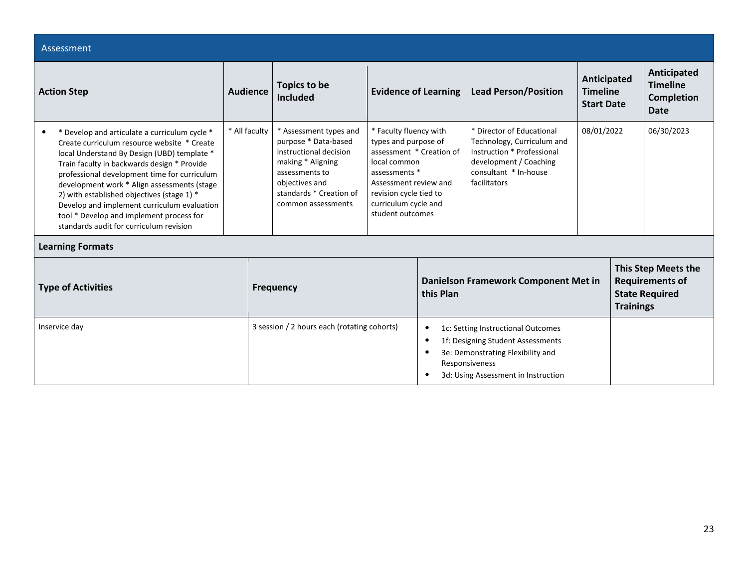| Assessment                                                                                                                                                                                                                                                                                                                                                                                                                                                                    |                 |                                                                                                                                                                                    |  |                                                                                                                                                                                                                                                                                                                                                                        |                                                                                                                                                                       |            |                                                     |                                                                        |
|-------------------------------------------------------------------------------------------------------------------------------------------------------------------------------------------------------------------------------------------------------------------------------------------------------------------------------------------------------------------------------------------------------------------------------------------------------------------------------|-----------------|------------------------------------------------------------------------------------------------------------------------------------------------------------------------------------|--|------------------------------------------------------------------------------------------------------------------------------------------------------------------------------------------------------------------------------------------------------------------------------------------------------------------------------------------------------------------------|-----------------------------------------------------------------------------------------------------------------------------------------------------------------------|------------|-----------------------------------------------------|------------------------------------------------------------------------|
| <b>Action Step</b>                                                                                                                                                                                                                                                                                                                                                                                                                                                            | <b>Audience</b> | <b>Topics to be</b><br>Included                                                                                                                                                    |  | <b>Evidence of Learning</b>                                                                                                                                                                                                                                                                                                                                            | <b>Lead Person/Position</b>                                                                                                                                           |            | Anticipated<br><b>Timeline</b><br><b>Start Date</b> | Anticipated<br><b>Timeline</b><br><b>Completion</b><br><b>Date</b>     |
| * Develop and articulate a curriculum cycle *<br>Create curriculum resource website * Create<br>local Understand By Design (UBD) template *<br>Train faculty in backwards design * Provide<br>professional development time for curriculum<br>development work * Align assessments (stage<br>2) with established objectives (stage 1) *<br>Develop and implement curriculum evaluation<br>tool * Develop and implement process for<br>standards audit for curriculum revision | * All faculty   | * Assessment types and<br>purpose * Data-based<br>instructional decision<br>making * Aligning<br>assessments to<br>objectives and<br>standards * Creation of<br>common assessments |  | * Faculty fluency with<br>* Director of Educational<br>types and purpose of<br>Technology, Curriculum and<br>assessment * Creation of<br>Instruction * Professional<br>local common<br>development / Coaching<br>consultant * In-house<br>assessments *<br>facilitators<br>Assessment review and<br>revision cycle tied to<br>curriculum cycle and<br>student outcomes |                                                                                                                                                                       | 08/01/2022 |                                                     | 06/30/2023                                                             |
| <b>Learning Formats</b>                                                                                                                                                                                                                                                                                                                                                                                                                                                       |                 |                                                                                                                                                                                    |  |                                                                                                                                                                                                                                                                                                                                                                        |                                                                                                                                                                       |            |                                                     |                                                                        |
| <b>Type of Activities</b>                                                                                                                                                                                                                                                                                                                                                                                                                                                     |                 | <b>Frequency</b>                                                                                                                                                                   |  | this Plan                                                                                                                                                                                                                                                                                                                                                              | Danielson Framework Component Met in                                                                                                                                  |            | <b>Trainings</b>                                    | This Step Meets the<br><b>Requirements of</b><br><b>State Required</b> |
| Inservice day                                                                                                                                                                                                                                                                                                                                                                                                                                                                 |                 | 3 session / 2 hours each (rotating cohorts)                                                                                                                                        |  | ٠<br>٠<br>$\bullet$<br>$\bullet$                                                                                                                                                                                                                                                                                                                                       | 1c: Setting Instructional Outcomes<br>1f: Designing Student Assessments<br>3e: Demonstrating Flexibility and<br>Responsiveness<br>3d: Using Assessment in Instruction |            |                                                     |                                                                        |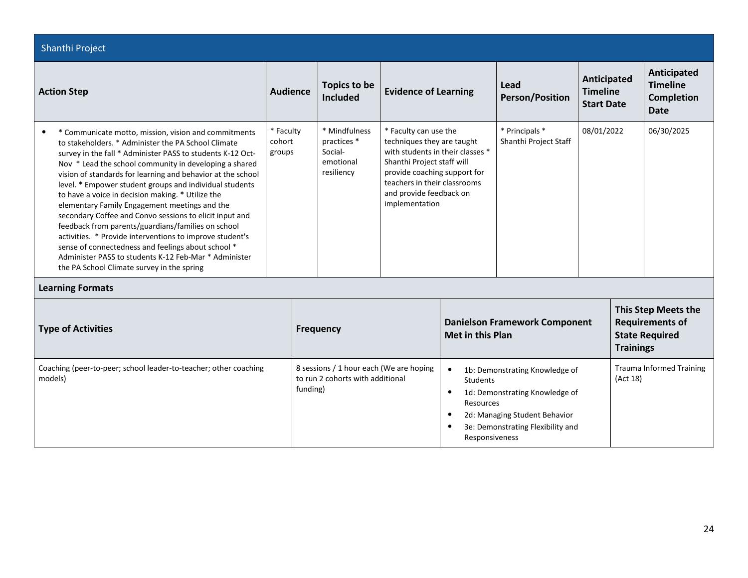| Shanthi Project                                                                                                                                                                                                                                                                                                                                                                                                                                                                                                                                                                                                                                                                                                                                                                                               |                               |                                                                                         |                                                                                                                                                                                                                                    |                         |                                                                                                                                                                                   |            |                                                     |                                                                           |
|---------------------------------------------------------------------------------------------------------------------------------------------------------------------------------------------------------------------------------------------------------------------------------------------------------------------------------------------------------------------------------------------------------------------------------------------------------------------------------------------------------------------------------------------------------------------------------------------------------------------------------------------------------------------------------------------------------------------------------------------------------------------------------------------------------------|-------------------------------|-----------------------------------------------------------------------------------------|------------------------------------------------------------------------------------------------------------------------------------------------------------------------------------------------------------------------------------|-------------------------|-----------------------------------------------------------------------------------------------------------------------------------------------------------------------------------|------------|-----------------------------------------------------|---------------------------------------------------------------------------|
| <b>Action Step</b>                                                                                                                                                                                                                                                                                                                                                                                                                                                                                                                                                                                                                                                                                                                                                                                            | <b>Audience</b>               | <b>Topics to be</b><br><b>Included</b>                                                  | <b>Evidence of Learning</b>                                                                                                                                                                                                        |                         | Lead<br><b>Person/Position</b>                                                                                                                                                    |            | Anticipated<br><b>Timeline</b><br><b>Start Date</b> | <b>Anticipated</b><br><b>Timeline</b><br><b>Completion</b><br><b>Date</b> |
| * Communicate motto, mission, vision and commitments<br>to stakeholders. * Administer the PA School Climate<br>survey in the fall * Administer PASS to students K-12 Oct-<br>Nov * Lead the school community in developing a shared<br>vision of standards for learning and behavior at the school<br>level. * Empower student groups and individual students<br>to have a voice in decision making. * Utilize the<br>elementary Family Engagement meetings and the<br>secondary Coffee and Convo sessions to elicit input and<br>feedback from parents/guardians/families on school<br>activities. * Provide interventions to improve student's<br>sense of connectedness and feelings about school *<br>Administer PASS to students K-12 Feb-Mar * Administer<br>the PA School Climate survey in the spring | * Faculty<br>cohort<br>groups | * Mindfulness<br>practices *<br>Social-<br>emotional<br>resiliency                      | * Faculty can use the<br>techniques they are taught<br>with students in their classes *<br>Shanthi Project staff will<br>provide coaching support for<br>teachers in their classrooms<br>and provide feedback on<br>implementation |                         | * Principals *<br>Shanthi Project Staff                                                                                                                                           | 08/01/2022 |                                                     | 06/30/2025                                                                |
| <b>Learning Formats</b>                                                                                                                                                                                                                                                                                                                                                                                                                                                                                                                                                                                                                                                                                                                                                                                       |                               |                                                                                         |                                                                                                                                                                                                                                    |                         |                                                                                                                                                                                   |            |                                                     |                                                                           |
| <b>Type of Activities</b>                                                                                                                                                                                                                                                                                                                                                                                                                                                                                                                                                                                                                                                                                                                                                                                     |                               | <b>Frequency</b>                                                                        |                                                                                                                                                                                                                                    | <b>Met in this Plan</b> | <b>Danielson Framework Component</b>                                                                                                                                              |            | <b>Trainings</b>                                    | This Step Meets the<br><b>Requirements of</b><br><b>State Required</b>    |
| Coaching (peer-to-peer; school leader-to-teacher; other coaching<br>models)                                                                                                                                                                                                                                                                                                                                                                                                                                                                                                                                                                                                                                                                                                                                   |                               | 8 sessions / 1 hour each (We are hoping<br>to run 2 cohorts with additional<br>funding) |                                                                                                                                                                                                                                    |                         | 1b: Demonstrating Knowledge of<br>Students<br>1d: Demonstrating Knowledge of<br>Resources<br>2d: Managing Student Behavior<br>3e: Demonstrating Flexibility and<br>Responsiveness |            | (Act 18)                                            | <b>Trauma Informed Training</b>                                           |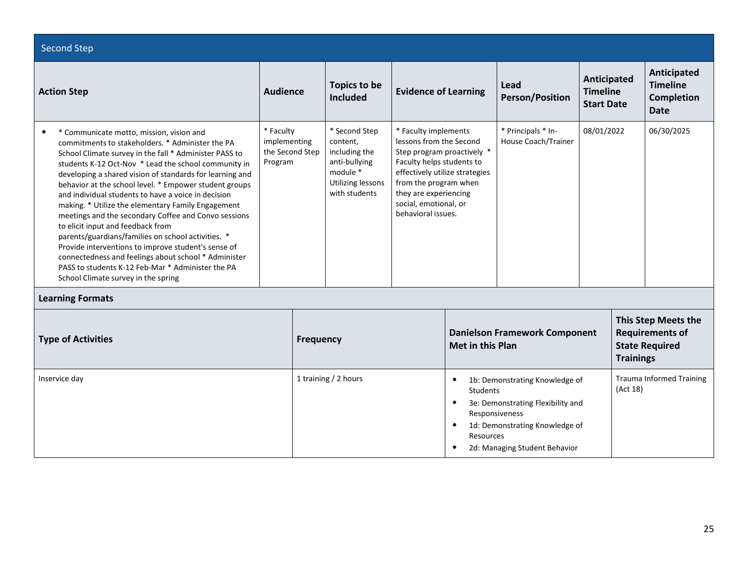| <b>Second Step</b>                                                                                                                                                                                                                                                                                                                                                                                                                                                                                                                                                                                                                                                                                                                                                                                                           |                                                         |                                                                                                               |                                                                                                                                                                                                                                               |                                                                                                                                                                                                                                 |                                           |                                                     |                  |                                                                               |
|------------------------------------------------------------------------------------------------------------------------------------------------------------------------------------------------------------------------------------------------------------------------------------------------------------------------------------------------------------------------------------------------------------------------------------------------------------------------------------------------------------------------------------------------------------------------------------------------------------------------------------------------------------------------------------------------------------------------------------------------------------------------------------------------------------------------------|---------------------------------------------------------|---------------------------------------------------------------------------------------------------------------|-----------------------------------------------------------------------------------------------------------------------------------------------------------------------------------------------------------------------------------------------|---------------------------------------------------------------------------------------------------------------------------------------------------------------------------------------------------------------------------------|-------------------------------------------|-----------------------------------------------------|------------------|-------------------------------------------------------------------------------|
| <b>Action Step</b>                                                                                                                                                                                                                                                                                                                                                                                                                                                                                                                                                                                                                                                                                                                                                                                                           | <b>Audience</b>                                         | Topics to be<br><b>Included</b>                                                                               | <b>Evidence of Learning</b>                                                                                                                                                                                                                   |                                                                                                                                                                                                                                 | Lead<br><b>Person/Position</b>            | Anticipated<br><b>Timeline</b><br><b>Start Date</b> |                  | <b>Anticipated</b><br><b>Timeline</b><br><b>Completion</b><br><b>Date</b>     |
| * Communicate motto, mission, vision and<br>$\bullet$<br>commitments to stakeholders. * Administer the PA<br>School Climate survey in the fall * Administer PASS to<br>students K-12 Oct-Nov * Lead the school community in<br>developing a shared vision of standards for learning and<br>behavior at the school level. * Empower student groups<br>and individual students to have a voice in decision<br>making. * Utilize the elementary Family Engagement<br>meetings and the secondary Coffee and Convo sessions<br>to elicit input and feedback from<br>parents/guardians/families on school activities. *<br>Provide interventions to improve student's sense of<br>connectedness and feelings about school * Administer<br>PASS to students K-12 Feb-Mar * Administer the PA<br>School Climate survey in the spring | * Faculty<br>implementing<br>the Second Step<br>Program | * Second Step<br>content,<br>including the<br>anti-bullying<br>module *<br>Utilizing lessons<br>with students | * Faculty implements<br>lessons from the Second<br>Step program proactively *<br>Faculty helps students to<br>effectively utilize strategies<br>from the program when<br>they are experiencing<br>social, emotional, or<br>behavioral issues. |                                                                                                                                                                                                                                 | * Principals * In-<br>House Coach/Trainer | 08/01/2022                                          |                  | 06/30/2025                                                                    |
| <b>Learning Formats</b>                                                                                                                                                                                                                                                                                                                                                                                                                                                                                                                                                                                                                                                                                                                                                                                                      |                                                         |                                                                                                               |                                                                                                                                                                                                                                               |                                                                                                                                                                                                                                 |                                           |                                                     |                  |                                                                               |
| <b>Type of Activities</b>                                                                                                                                                                                                                                                                                                                                                                                                                                                                                                                                                                                                                                                                                                                                                                                                    | <b>Frequency</b>                                        |                                                                                                               |                                                                                                                                                                                                                                               | <b>Met in this Plan</b>                                                                                                                                                                                                         | <b>Danielson Framework Component</b>      |                                                     | <b>Trainings</b> | <b>This Step Meets the</b><br><b>Requirements of</b><br><b>State Required</b> |
| Inservice day                                                                                                                                                                                                                                                                                                                                                                                                                                                                                                                                                                                                                                                                                                                                                                                                                |                                                         | 1 training / 2 hours                                                                                          |                                                                                                                                                                                                                                               | 1b: Demonstrating Knowledge of<br>$\bullet$<br><b>Students</b><br>3e: Demonstrating Flexibility and<br>$\bullet$<br>Responsiveness<br>1d: Demonstrating Knowledge of<br>Resources<br>2d: Managing Student Behavior<br>$\bullet$ |                                           |                                                     | (Act 18)         | <b>Trauma Informed Training</b>                                               |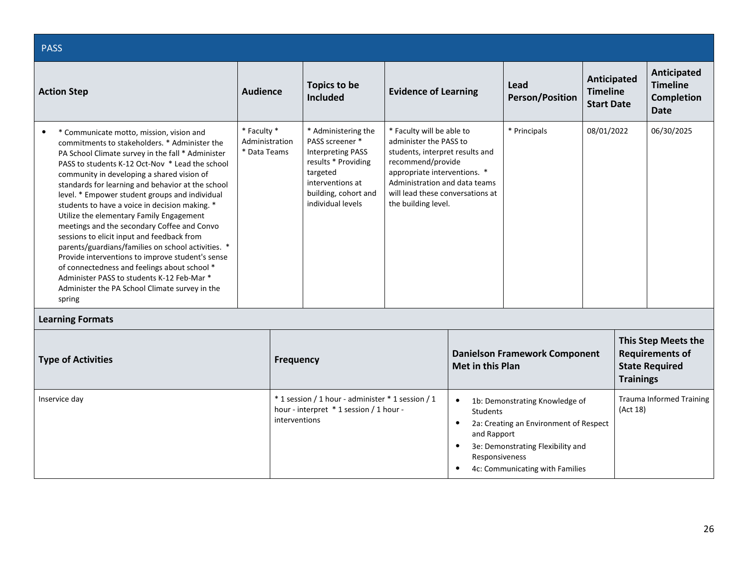| <b>PASS</b>                                                                                                                                                                                                                                                                                                                                                                                                                                                                                                                                                                                                                                                                                                                                                                                                                        |                                               |                                                                                                                                                                        |                                                                                                                                                                                                                                         |                         |                                                                                                                                                  |                                                     |                  |                                                                               |
|------------------------------------------------------------------------------------------------------------------------------------------------------------------------------------------------------------------------------------------------------------------------------------------------------------------------------------------------------------------------------------------------------------------------------------------------------------------------------------------------------------------------------------------------------------------------------------------------------------------------------------------------------------------------------------------------------------------------------------------------------------------------------------------------------------------------------------|-----------------------------------------------|------------------------------------------------------------------------------------------------------------------------------------------------------------------------|-----------------------------------------------------------------------------------------------------------------------------------------------------------------------------------------------------------------------------------------|-------------------------|--------------------------------------------------------------------------------------------------------------------------------------------------|-----------------------------------------------------|------------------|-------------------------------------------------------------------------------|
| <b>Action Step</b>                                                                                                                                                                                                                                                                                                                                                                                                                                                                                                                                                                                                                                                                                                                                                                                                                 | <b>Audience</b>                               | <b>Topics to be</b><br><b>Included</b>                                                                                                                                 | <b>Evidence of Learning</b>                                                                                                                                                                                                             |                         | Lead<br><b>Person/Position</b>                                                                                                                   | Anticipated<br><b>Timeline</b><br><b>Start Date</b> |                  | Anticipated<br><b>Timeline</b><br><b>Completion</b><br><b>Date</b>            |
| * Communicate motto, mission, vision and<br>$\bullet$<br>commitments to stakeholders. * Administer the<br>PA School Climate survey in the fall * Administer<br>PASS to students K-12 Oct-Nov * Lead the school<br>community in developing a shared vision of<br>standards for learning and behavior at the school<br>level. * Empower student groups and individual<br>students to have a voice in decision making. *<br>Utilize the elementary Family Engagement<br>meetings and the secondary Coffee and Convo<br>sessions to elicit input and feedback from<br>parents/guardians/families on school activities. *<br>Provide interventions to improve student's sense<br>of connectedness and feelings about school *<br>Administer PASS to students K-12 Feb-Mar *<br>Administer the PA School Climate survey in the<br>spring | * Faculty *<br>Administration<br>* Data Teams | * Administering the<br>PASS screener *<br><b>Interpreting PASS</b><br>results * Providing<br>targeted<br>interventions at<br>building, cohort and<br>individual levels | * Faculty will be able to<br>administer the PASS to<br>students, interpret results and<br>recommend/provide<br>appropriate interventions. *<br>Administration and data teams<br>will lead these conversations at<br>the building level. |                         | * Principals                                                                                                                                     | 08/01/2022                                          |                  | 06/30/2025                                                                    |
| <b>Learning Formats</b>                                                                                                                                                                                                                                                                                                                                                                                                                                                                                                                                                                                                                                                                                                                                                                                                            |                                               |                                                                                                                                                                        |                                                                                                                                                                                                                                         |                         |                                                                                                                                                  |                                                     |                  |                                                                               |
| <b>Type of Activities</b>                                                                                                                                                                                                                                                                                                                                                                                                                                                                                                                                                                                                                                                                                                                                                                                                          |                                               | <b>Frequency</b>                                                                                                                                                       |                                                                                                                                                                                                                                         | <b>Met in this Plan</b> | <b>Danielson Framework Component</b>                                                                                                             |                                                     | <b>Trainings</b> | <b>This Step Meets the</b><br><b>Requirements of</b><br><b>State Required</b> |
| Inservice day                                                                                                                                                                                                                                                                                                                                                                                                                                                                                                                                                                                                                                                                                                                                                                                                                      |                                               | * 1 session / 1 hour - administer * 1 session / 1<br>hour - interpret * 1 session / 1 hour -<br>interventions                                                          | $\bullet$<br><b>Students</b><br>$\bullet$<br>and Rapport<br>$\bullet$<br>Responsiveness                                                                                                                                                 |                         | 1b: Demonstrating Knowledge of<br>2a: Creating an Environment of Respect<br>3e: Demonstrating Flexibility and<br>4c: Communicating with Families |                                                     | (Act 18)         | <b>Trauma Informed Training</b>                                               |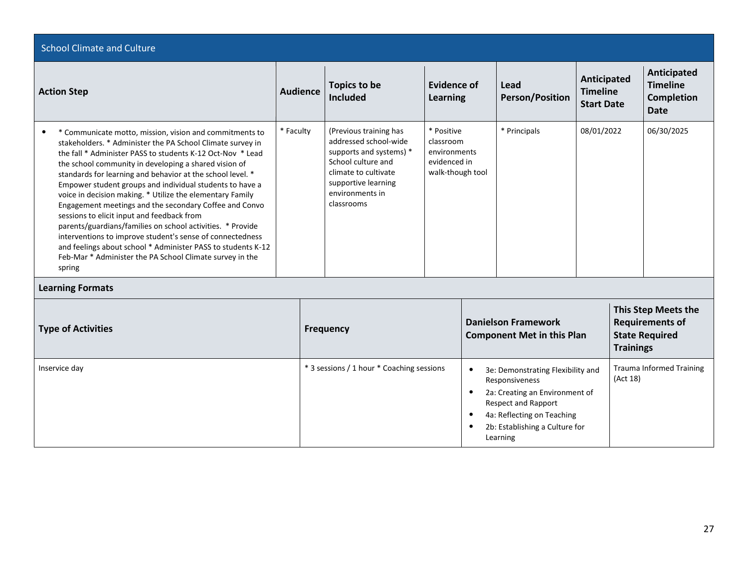| <b>School Climate and Culture</b>                                                                                                                                                                                                                                                                                                                                                                                                                                                                                                                                                                                                                                                                                                                                                                                         |                 |                                                                                                                                                                                  |                                                                             |                                                                                                                                                                                                                                 |                                                                 |                                                     |                  |                                                                               |
|---------------------------------------------------------------------------------------------------------------------------------------------------------------------------------------------------------------------------------------------------------------------------------------------------------------------------------------------------------------------------------------------------------------------------------------------------------------------------------------------------------------------------------------------------------------------------------------------------------------------------------------------------------------------------------------------------------------------------------------------------------------------------------------------------------------------------|-----------------|----------------------------------------------------------------------------------------------------------------------------------------------------------------------------------|-----------------------------------------------------------------------------|---------------------------------------------------------------------------------------------------------------------------------------------------------------------------------------------------------------------------------|-----------------------------------------------------------------|-----------------------------------------------------|------------------|-------------------------------------------------------------------------------|
| <b>Action Step</b>                                                                                                                                                                                                                                                                                                                                                                                                                                                                                                                                                                                                                                                                                                                                                                                                        | <b>Audience</b> | <b>Topics to be</b><br><b>Included</b>                                                                                                                                           | <b>Evidence of</b><br>Learning                                              |                                                                                                                                                                                                                                 | Lead<br><b>Person/Position</b>                                  | Anticipated<br><b>Timeline</b><br><b>Start Date</b> |                  | Anticipated<br><b>Timeline</b><br><b>Completion</b><br><b>Date</b>            |
| * Communicate motto, mission, vision and commitments to<br>$\bullet$<br>stakeholders. * Administer the PA School Climate survey in<br>the fall * Administer PASS to students K-12 Oct-Nov * Lead<br>the school community in developing a shared vision of<br>standards for learning and behavior at the school level. *<br>Empower student groups and individual students to have a<br>voice in decision making. * Utilize the elementary Family<br>Engagement meetings and the secondary Coffee and Convo<br>sessions to elicit input and feedback from<br>parents/guardians/families on school activities. * Provide<br>interventions to improve student's sense of connectedness<br>and feelings about school * Administer PASS to students K-12<br>Feb-Mar * Administer the PA School Climate survey in the<br>spring | * Faculty       | (Previous training has<br>addressed school-wide<br>supports and systems) *<br>School culture and<br>climate to cultivate<br>supportive learning<br>environments in<br>classrooms | * Positive<br>classroom<br>environments<br>evidenced in<br>walk-though tool |                                                                                                                                                                                                                                 | * Principals                                                    |                                                     | 08/01/2022       | 06/30/2025                                                                    |
| <b>Learning Formats</b>                                                                                                                                                                                                                                                                                                                                                                                                                                                                                                                                                                                                                                                                                                                                                                                                   |                 |                                                                                                                                                                                  |                                                                             |                                                                                                                                                                                                                                 |                                                                 |                                                     |                  |                                                                               |
| <b>Type of Activities</b>                                                                                                                                                                                                                                                                                                                                                                                                                                                                                                                                                                                                                                                                                                                                                                                                 |                 | <b>Frequency</b>                                                                                                                                                                 |                                                                             |                                                                                                                                                                                                                                 | <b>Danielson Framework</b><br><b>Component Met in this Plan</b> |                                                     | <b>Trainings</b> | <b>This Step Meets the</b><br><b>Requirements of</b><br><b>State Required</b> |
| Inservice day                                                                                                                                                                                                                                                                                                                                                                                                                                                                                                                                                                                                                                                                                                                                                                                                             |                 | * 3 sessions / 1 hour * Coaching sessions                                                                                                                                        |                                                                             | 3e: Demonstrating Flexibility and<br>$\bullet$<br>Responsiveness<br>2a: Creating an Environment of<br>$\bullet$<br>Respect and Rapport<br>4a: Reflecting on Teaching<br>$\bullet$<br>2b: Establishing a Culture for<br>Learning |                                                                 |                                                     | (Act 18)         | <b>Trauma Informed Training</b>                                               |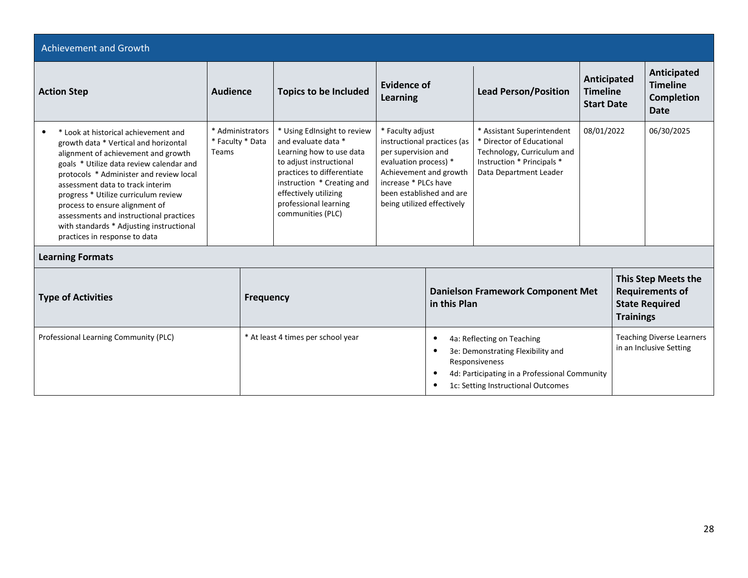| Achievement and Growth                                                                                                                                                                                                                                                                                                                                                                                                                            |                                               |                              |                                                                                                                                                                                                                                                                  |                         |                                                                                                                                                                                         |                                                                                                                                                                          |                                                                                            |  |                                                                    |
|---------------------------------------------------------------------------------------------------------------------------------------------------------------------------------------------------------------------------------------------------------------------------------------------------------------------------------------------------------------------------------------------------------------------------------------------------|-----------------------------------------------|------------------------------|------------------------------------------------------------------------------------------------------------------------------------------------------------------------------------------------------------------------------------------------------------------|-------------------------|-----------------------------------------------------------------------------------------------------------------------------------------------------------------------------------------|--------------------------------------------------------------------------------------------------------------------------------------------------------------------------|--------------------------------------------------------------------------------------------|--|--------------------------------------------------------------------|
| <b>Action Step</b>                                                                                                                                                                                                                                                                                                                                                                                                                                | <b>Audience</b>                               | <b>Topics to be Included</b> |                                                                                                                                                                                                                                                                  | Evidence of<br>Learning |                                                                                                                                                                                         | <b>Lead Person/Position</b>                                                                                                                                              | Anticipated<br><b>Timeline</b><br><b>Start Date</b>                                        |  | Anticipated<br><b>Timeline</b><br><b>Completion</b><br><b>Date</b> |
| * Look at historical achievement and<br>growth data * Vertical and horizontal<br>alignment of achievement and growth<br>goals * Utilize data review calendar and<br>protocols * Administer and review local<br>assessment data to track interim<br>progress * Utilize curriculum review<br>process to ensure alignment of<br>assessments and instructional practices<br>with standards * Adjusting instructional<br>practices in response to data | * Administrators<br>* Faculty * Data<br>Teams |                              | * Using EdInsight to review<br>* Faculty adjust<br>and evaluate data *<br>Learning how to use data<br>to adjust instructional<br>practices to differentiate<br>instruction * Creating and<br>effectively utilizing<br>professional learning<br>communities (PLC) |                         | instructional practices (as<br>per supervision and<br>evaluation process) *<br>Achievement and growth<br>increase * PLCs have<br>been established and are<br>being utilized effectively | * Assistant Superintendent<br>* Director of Educational<br>Technology, Curriculum and<br>Instruction * Principals *<br>Data Department Leader                            | 08/01/2022                                                                                 |  | 06/30/2025                                                         |
| <b>Learning Formats</b>                                                                                                                                                                                                                                                                                                                                                                                                                           |                                               |                              |                                                                                                                                                                                                                                                                  |                         |                                                                                                                                                                                         |                                                                                                                                                                          |                                                                                            |  |                                                                    |
| <b>Type of Activities</b><br><b>Frequency</b>                                                                                                                                                                                                                                                                                                                                                                                                     |                                               |                              |                                                                                                                                                                                                                                                                  |                         | <b>Danielson Framework Component Met</b><br>in this Plan                                                                                                                                |                                                                                                                                                                          | This Step Meets the<br><b>Requirements of</b><br><b>State Required</b><br><b>Trainings</b> |  |                                                                    |
| Professional Learning Community (PLC)                                                                                                                                                                                                                                                                                                                                                                                                             |                                               |                              | * At least 4 times per school year                                                                                                                                                                                                                               | $\bullet$<br>$\bullet$  |                                                                                                                                                                                         | 4a: Reflecting on Teaching<br>3e: Demonstrating Flexibility and<br>Responsiveness<br>4d: Participating in a Professional Community<br>1c: Setting Instructional Outcomes |                                                                                            |  | <b>Teaching Diverse Learners</b><br>in an Inclusive Setting        |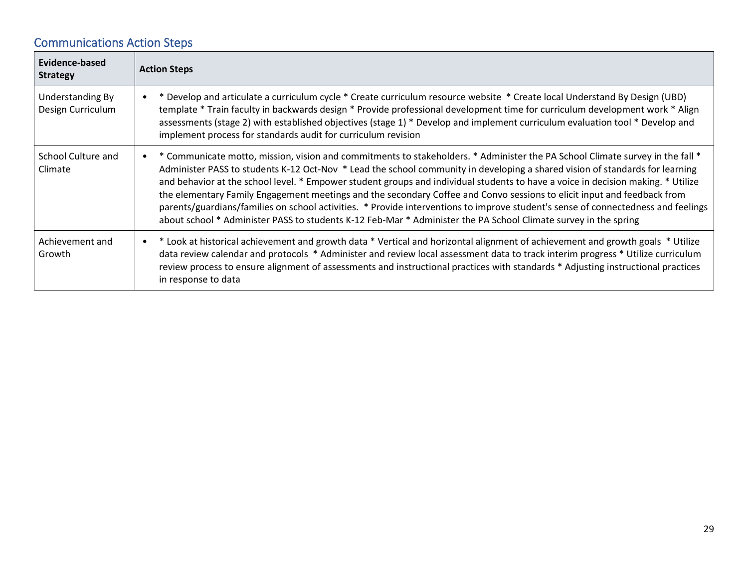# Communications Action Steps

| Evidence-based<br><b>Strategy</b>     | <b>Action Steps</b>                                                                                                                                                                                                                                                                                                                                                                                                                                                                                                                                                                                                                                                                                                                                                                               |
|---------------------------------------|---------------------------------------------------------------------------------------------------------------------------------------------------------------------------------------------------------------------------------------------------------------------------------------------------------------------------------------------------------------------------------------------------------------------------------------------------------------------------------------------------------------------------------------------------------------------------------------------------------------------------------------------------------------------------------------------------------------------------------------------------------------------------------------------------|
| Understanding By<br>Design Curriculum | Develop and articulate a curriculum cycle * Create curriculum resource website * Create local Understand By Design (UBD)<br>template * Train faculty in backwards design * Provide professional development time for curriculum development work * Align<br>assessments (stage 2) with established objectives (stage 1) * Develop and implement curriculum evaluation tool * Develop and<br>implement process for standards audit for curriculum revision                                                                                                                                                                                                                                                                                                                                         |
| School Culture and<br>Climate         | * Communicate motto, mission, vision and commitments to stakeholders. * Administer the PA School Climate survey in the fall *<br>$\bullet$<br>Administer PASS to students K-12 Oct-Nov * Lead the school community in developing a shared vision of standards for learning<br>and behavior at the school level. * Empower student groups and individual students to have a voice in decision making. * Utilize<br>the elementary Family Engagement meetings and the secondary Coffee and Convo sessions to elicit input and feedback from<br>parents/guardians/families on school activities. * Provide interventions to improve student's sense of connectedness and feelings<br>about school * Administer PASS to students K-12 Feb-Mar * Administer the PA School Climate survey in the spring |
| Achievement and<br>Growth             | • * Look at historical achievement and growth data * Vertical and horizontal alignment of achievement and growth goals * Utilize<br>data review calendar and protocols * Administer and review local assessment data to track interim progress * Utilize curriculum<br>review process to ensure alignment of assessments and instructional practices with standards * Adjusting instructional practices<br>in response to data                                                                                                                                                                                                                                                                                                                                                                    |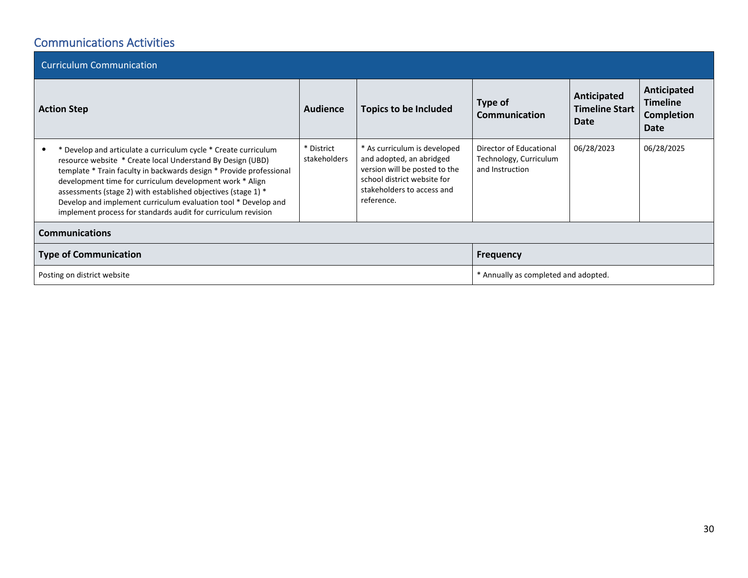### Communications Activities

| <b>Curriculum Communication</b> |                                                                                                                                                                                                                                                                                                                                                                                                                                                                      |                                      |                                                                                                                                                                      |                                                                      |                                              |                                                             |  |  |
|---------------------------------|----------------------------------------------------------------------------------------------------------------------------------------------------------------------------------------------------------------------------------------------------------------------------------------------------------------------------------------------------------------------------------------------------------------------------------------------------------------------|--------------------------------------|----------------------------------------------------------------------------------------------------------------------------------------------------------------------|----------------------------------------------------------------------|----------------------------------------------|-------------------------------------------------------------|--|--|
| <b>Action Step</b>              |                                                                                                                                                                                                                                                                                                                                                                                                                                                                      | Audience                             | Type of<br><b>Topics to be Included</b><br><b>Communication</b>                                                                                                      |                                                                      | Anticipated<br><b>Timeline Start</b><br>Date | Anticipated<br><b>Timeline</b><br><b>Completion</b><br>Date |  |  |
|                                 | * Develop and articulate a curriculum cycle * Create curriculum<br>resource website * Create local Understand By Design (UBD)<br>template * Train faculty in backwards design * Provide professional<br>development time for curriculum development work * Align<br>assessments (stage 2) with established objectives (stage 1) *<br>Develop and implement curriculum evaluation tool * Develop and<br>implement process for standards audit for curriculum revision | * District<br>stakeholders           | * As curriculum is developed<br>and adopted, an abridged<br>version will be posted to the<br>school district website for<br>stakeholders to access and<br>reference. | Director of Educational<br>Technology, Curriculum<br>and Instruction | 06/28/2023                                   | 06/28/2025                                                  |  |  |
| <b>Communications</b>           |                                                                                                                                                                                                                                                                                                                                                                                                                                                                      |                                      |                                                                                                                                                                      |                                                                      |                                              |                                                             |  |  |
|                                 | <b>Type of Communication</b>                                                                                                                                                                                                                                                                                                                                                                                                                                         | <b>Frequency</b>                     |                                                                                                                                                                      |                                                                      |                                              |                                                             |  |  |
|                                 | Posting on district website                                                                                                                                                                                                                                                                                                                                                                                                                                          | * Annually as completed and adopted. |                                                                                                                                                                      |                                                                      |                                              |                                                             |  |  |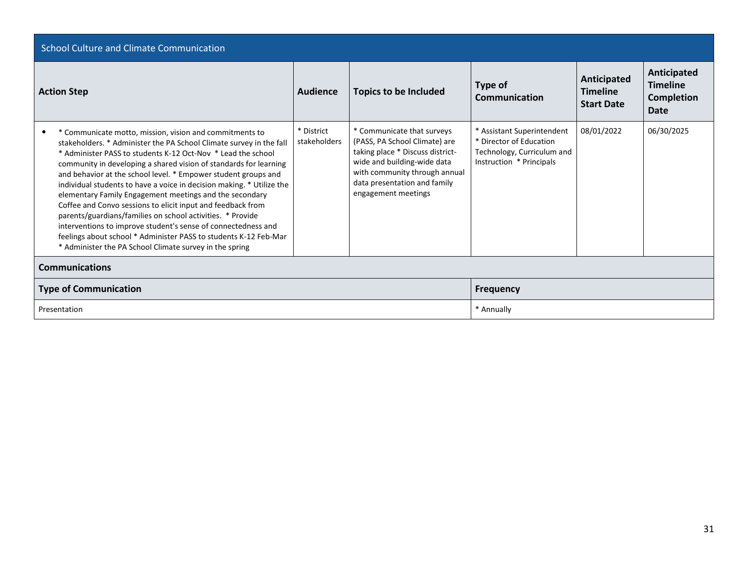| <b>School Culture and Climate Communication</b>                                                                                                                                                                                                                                                                                                                                                                                                                                                                                                                                                                                                                                                                                                                                                        |                            |                                                                                                                                                                                                                        |                                                                                                                 |                                                     |                                                      |  |  |
|--------------------------------------------------------------------------------------------------------------------------------------------------------------------------------------------------------------------------------------------------------------------------------------------------------------------------------------------------------------------------------------------------------------------------------------------------------------------------------------------------------------------------------------------------------------------------------------------------------------------------------------------------------------------------------------------------------------------------------------------------------------------------------------------------------|----------------------------|------------------------------------------------------------------------------------------------------------------------------------------------------------------------------------------------------------------------|-----------------------------------------------------------------------------------------------------------------|-----------------------------------------------------|------------------------------------------------------|--|--|
| <b>Action Step</b>                                                                                                                                                                                                                                                                                                                                                                                                                                                                                                                                                                                                                                                                                                                                                                                     | Audience                   | <b>Topics to be Included</b>                                                                                                                                                                                           | Type of<br><b>Communication</b>                                                                                 | Anticipated<br><b>Timeline</b><br><b>Start Date</b> | Anticipated<br><b>Timeline</b><br>Completion<br>Date |  |  |
| * Communicate motto, mission, vision and commitments to<br>stakeholders. * Administer the PA School Climate survey in the fall<br>* Administer PASS to students K-12 Oct-Nov * Lead the school<br>community in developing a shared vision of standards for learning<br>and behavior at the school level. * Empower student groups and<br>individual students to have a voice in decision making. * Utilize the<br>elementary Family Engagement meetings and the secondary<br>Coffee and Convo sessions to elicit input and feedback from<br>parents/guardians/families on school activities. * Provide<br>interventions to improve student's sense of connectedness and<br>feelings about school * Administer PASS to students K-12 Feb-Mar<br>* Administer the PA School Climate survey in the spring | * District<br>stakeholders | * Communicate that surveys<br>(PASS, PA School Climate) are<br>taking place * Discuss district-<br>wide and building-wide data<br>with community through annual<br>data presentation and family<br>engagement meetings | * Assistant Superintendent<br>* Director of Education<br>Technology, Curriculum and<br>Instruction * Principals | 08/01/2022                                          | 06/30/2025                                           |  |  |
| <b>Communications</b>                                                                                                                                                                                                                                                                                                                                                                                                                                                                                                                                                                                                                                                                                                                                                                                  |                            |                                                                                                                                                                                                                        |                                                                                                                 |                                                     |                                                      |  |  |
| <b>Type of Communication</b>                                                                                                                                                                                                                                                                                                                                                                                                                                                                                                                                                                                                                                                                                                                                                                           | <b>Frequency</b>           |                                                                                                                                                                                                                        |                                                                                                                 |                                                     |                                                      |  |  |
| Presentation                                                                                                                                                                                                                                                                                                                                                                                                                                                                                                                                                                                                                                                                                                                                                                                           | * Annually                 |                                                                                                                                                                                                                        |                                                                                                                 |                                                     |                                                      |  |  |